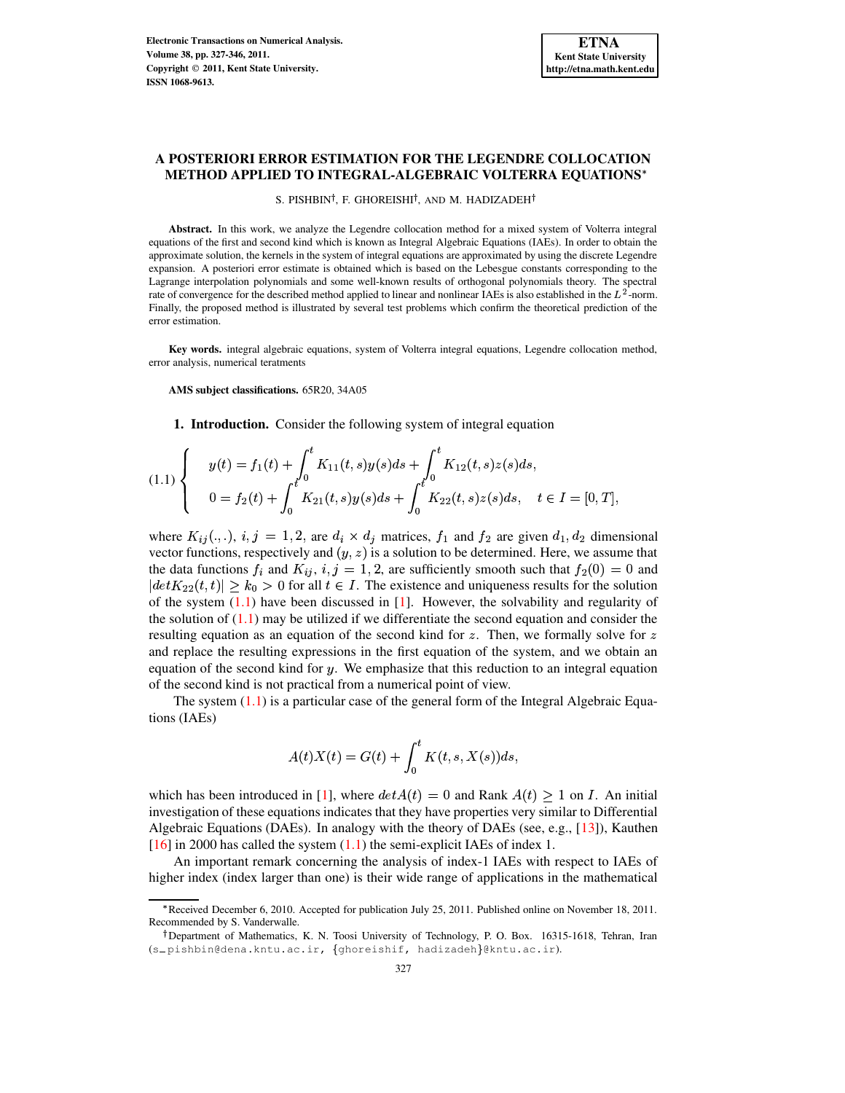# **A POSTERIORI ERROR ESTIMATION FOR THE LEGENDRE COLLOCATION METHOD APPLIED TO INTEGRAL-ALGEBRAIC VOLTERRA EQUATIONS**

### S. PISHBIN<sup>†</sup>, F. GHOREISHI<sup>†</sup>, AND M. HADIZADEH<sup>†</sup>

Abstract. In this work, we analyze the Legendre collocation method for a mixed system of Volterra integral equations of the first and second kind which is known as Integral Algebraic Equations (IAEs). In order to obtain the approximate solution, the kernels in the system of integral equations are approximated by using the discrete Legendre expansion. A posteriori error estimate is obtained which is based on the Lebesgue constants corresponding to the Lagrange interpolation polynomials and some well-known results of orthogonal polynomials theory. The spectral rate of convergence for the described method applied to linear and nonlinear IAEs is also established in the  $L^2$ -norm. Finally, the proposed method is illustrated by several test problems which confirm the theoretical prediction of the error estimation.

**Key words.** integral algebraic equations, system of Volterra integral equations, Legendre collocation method, error analysis, numerical teratments

**AMS subject classifications.** 65R20, 34A05

**1. Introduction.** Consider the following system of integral equation

<span id="page-0-0"></span>
$$
(1.1) \begin{cases} y(t) = f_1(t) + \int_0^t K_{11}(t,s)y(s)ds + \int_0^t K_{12}(t,s)z(s)ds, \\ 0 = f_2(t) + \int_0^t K_{21}(t,s)y(s)ds + \int_0^t K_{22}(t,s)z(s)ds, \quad t \in I = [0,T], \end{cases}
$$

where  $K_{ij}(\cdot, \cdot)$ ,  $i, j = 1, 2$ , are  $d_i \times d_j$  matrices,  $f_1$  and  $f_2$  are given  $d_1, d_2$  dimensional vector functions, respectively and  $(y, z)$  is a solution to be determined. Here, we assume that vector functions, respectively and  $(y, z)$  is a solution to be determined. Here, we assume that the data functions  $f_i$  and  $K_{ij}$ ,  $i, j = 1, 2$ , are sufficiently smooth such that  $f_2(0) = 0$  and the data functions  $f_i$  and  $K_{ij}$ ,  $i, j = 1, 2$ , are sufficiently smooth such that  $f_2(0) = 0$  and  $\left| \det K_{22}(t, t) \right| > k_0 > 0$  for all  $t \in I$ . The existence and uniqueness results for the solution  $|det K_{22}(t,t)| \geq k_0 > 0$  for all  $t \in I$ . The existence and uniqueness results for the solution of the system (1.1) have been discussed in [1]. However, the solvability and regularity of of the system  $(1.1)$  have been discussed in [\[1\]](#page-18-0). However, the solvability and regularity of the solution of  $(1.1)$  may be utilized if we differentiate the second equation and consider the resulting equation as an equation of the second kind for  $z$ . Then, we formally solve for and replace the resulting expressions in the first equation of the system, and we obtain an equation of the second kind for  $y$ . We emphasize that this reduction to an integral equation of the second kind is not practical from a numerical point of view.

The system  $(1.1)$  is a particular case of the general form of the Integral Algebraic Equations (IAEs)

$$
A(t)X(t) = G(t) + \int_0^t K(t, s, X(s))ds,
$$

which has been introduced in [\[1\]](#page-18-0), where  $\int_0^{\infty} \frac{f(x, 0, 1)}{x(x, 0)} dx$ <br>det $A(t) = 0$  and Rank A<br>hat they have properties ve investigation of these equations indicates that they have properties very similar to Differential and Rank  $A(t) \geq 1$  on  $I$ .  $\lambda(t) \geq 1$  on *I*. An initial<br>rv similar to Differential Algebraic Equations (DAEs). In analogy with the theory of DAEs (see, e.g., [\[13\]](#page-19-0)), Kauthen  $[16]$  in 2000 has called the system  $(1.1)$  the semi-explicit IAEs of index 1.

An important remark concerning the analysis of index-1 IAEs with respect to IAEs of higher index (index larger than one) is their wide range of applications in the mathematical

<sup>i</sup> Received December 6, 2010. Accepted for publication July 25, 2011. Published online on November 18, 2011. Recommended by S. Vanderwalle.

<sup>&</sup>lt;sup>†</sup>Department of Mathematics, K. N. Toosi University of Technology, P. O. Box. 16315-1618, Tehran, Iran (s \_ pishbin@dena.kntu.ac.ir, {ghoreishif, hadizadeh}@kntu.ac.ir).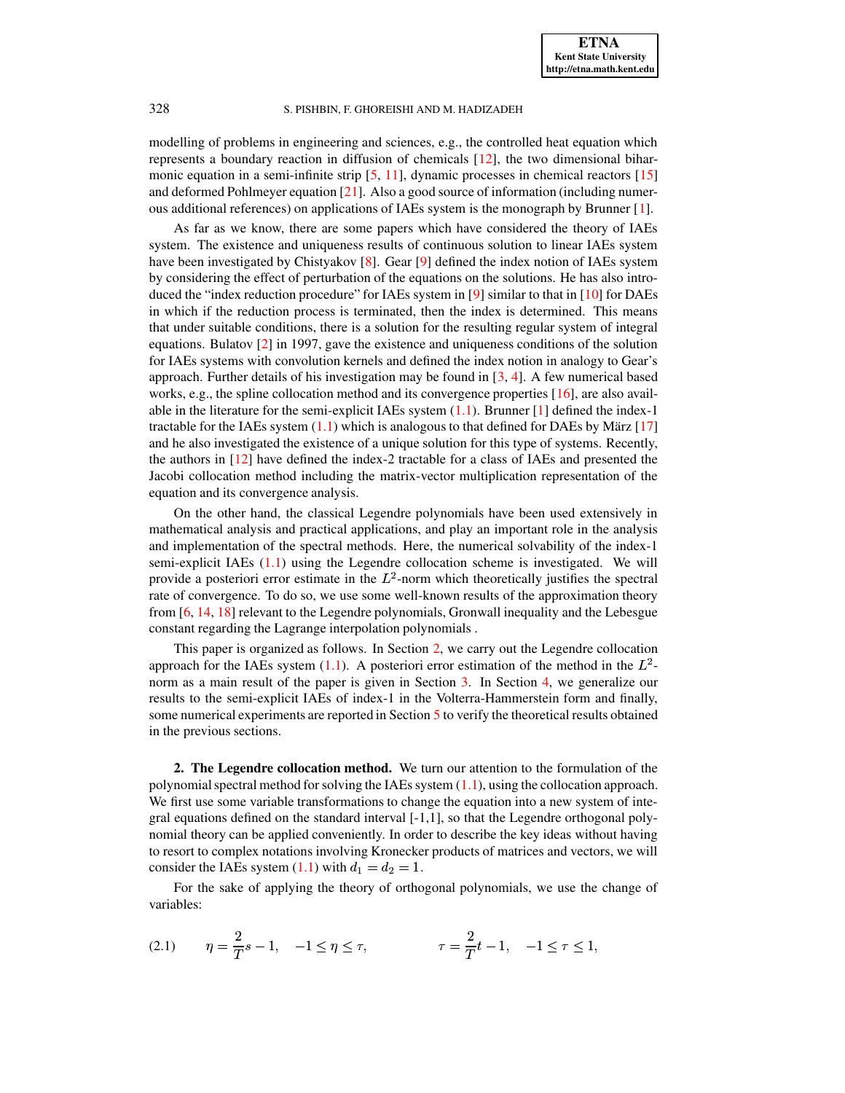modelling of problems in engineering and sciences, e.g., the controlled heat equation which represents a boundary reaction in diffusion of chemicals [\[12\]](#page-19-2), the two dimensional biharmonic equation in a semi-infinite strip  $[5, 11]$  $[5, 11]$  $[5, 11]$ , dynamic processes in chemical reactors  $[15]$ and deformed Pohlmeyer equation [\[21\]](#page-19-6). Also a good source of information (including numerous additional references) on applications of IAEs system is the monograph by Brunner [\[1\]](#page-18-0).

As far as we know, there are some papers which have considered the theory of IAEs system. The existence and uniqueness results of continuous solution to linear IAEs system have been investigated by Chistyakov [\[8\]](#page-19-7). Gear [\[9\]](#page-19-8) defined the index notion of IAEs system by considering the effect of perturbation of the equations on the solutions. He has also intro-duced the "index reduction procedure" for IAEs system in [\[9\]](#page-19-8) similar to that in  $[10]$  for DAEs in which if the reduction process is terminated, then the index is determined. This means that under suitable conditions, there is a solution for the resulting regular system of integral equations. Bulatov [\[2\]](#page-18-1) in 1997, gave the existence and uniqueness conditions of the solution for IAEs systems with convolution kernels and defined the index notion in analogy to Gear's approach. Further details of his investigation may be found in  $[3, 4]$  $[3, 4]$  $[3, 4]$ . A few numerical based works, e.g., the spline collocation method and its convergence properties [\[16\]](#page-19-1), are also available in the literature for the semi-explicit IAEs system  $(1.1)$ . Brunner  $[1]$  defined the index-1 tractable for the IAEs system  $(1.1)$  which is analogous to that defined for DAEs by März  $[17]$ and he also investigated the existence of a unique solution for this type of systems. Recently, the authors in [\[12\]](#page-19-2) have defined the index-2 tractable for a class of IAEs and presented the Jacobi collocation method including the matrix-vector multiplication representation of the equation and its convergence analysis.

On the other hand, the classical Legendre polynomials have been used extensively in mathematical analysis and practical applications, and play an important role in the analysis and implementation of the spectral methods. Here, the numerical solvability of the index-1 semi-explicit IAEs [\(1.1\)](#page-0-0) using the Legendre collocation scheme is investigated. We will provide a posteriori error estimate in the  $L^2$ -norm which theoretically justifies the spectral rate of convergence. To do so, we use some well-known results of the approximation theory from [\[6,](#page-19-11) [14,](#page-19-12) [18\]](#page-19-13) relevant to the Legendre polynomials, Gronwall inequality and the Lebesgue constant regarding the Lagrange interpolation polynomials .

This paper is organized as follows. In Section [2,](#page-1-0) we carry out the Legendre collocation approach for the IAEs system  $(1.1)$ . A posteriori error estimation of the method in the  $L^2$ -norm as a main result of the paper is given in Section [3.](#page-3-0) In Section [4,](#page-8-0) we generalize our results to the semi-explicit IAEs of index-1 in the Volterra-Hammerstein form and finally, some numerical experiments are reported in Section [5](#page-14-0) to verify the theoretical results obtained in the previous sections.

<span id="page-1-0"></span>**2. The Legendre collocation method.** We turn our attention to the formulation of the polynomial spectral method for solving the IAEs system  $(1.1)$ , using the collocation approach. We first use some variable transformations to change the equation into a new system of integral equations defined on the standard interval [-1,1], so that the Legendre orthogonal polynomial theory can be applied conveniently. In order to describe the key ideas without having to resort to complex notations involving Kronecker products of matrices and vectors, we will consider the IAEs system [\(1.1\)](#page-0-0) with  $d_1 = d_2 = 1$ .<br>For the sake of applying the theory of orthogonal

For the sake of applying the theory of orthogonal polynomials, we use the change of variables:

<span id="page-1-1"></span>(2.1) 
$$
\eta = \frac{2}{T}s - 1, \quad -1 \le \eta \le \tau, \qquad \tau = \frac{2}{T}t - 1, \quad -1 \le \tau \le 1,
$$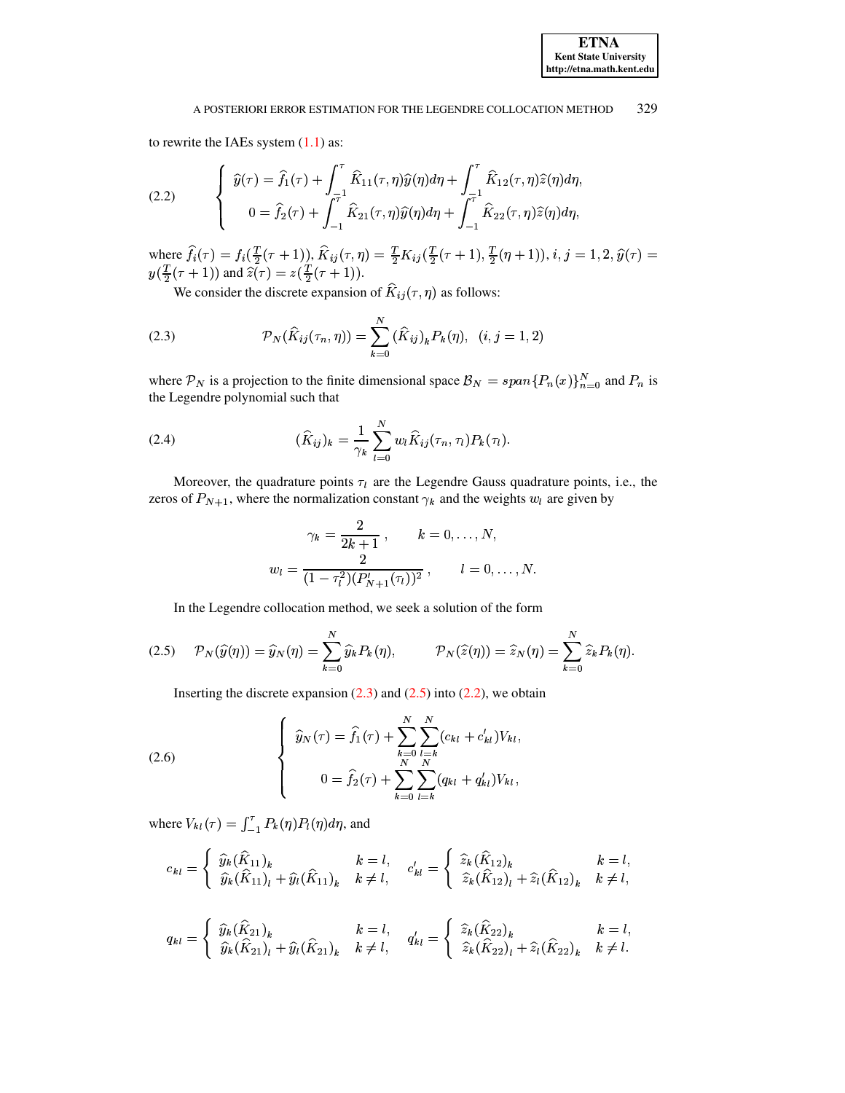to rewrite the IAEs system  $(1.1)$  as:

<span id="page-2-2"></span>(2.2) 
$$
\begin{cases} \widehat{y}(\tau) = \widehat{f}_1(\tau) + \int_{-\tau}^{\tau} \widehat{K}_{11}(\tau, \eta) \widehat{y}(\eta) d\eta + \int_{-\tau}^{\tau} \widehat{K}_{12}(\tau, \eta) \widehat{z}(\eta) d\eta, \\ 0 = \widehat{f}_2(\tau) + \int_{-1}^{\tau} \widehat{K}_{21}(\tau, \eta) \widehat{y}(\eta) d\eta + \int_{-1}^{\tau} \widehat{K}_{22}(\tau, \eta) \widehat{z}(\eta) d\eta, \end{cases}
$$

where re  $f_i(\tau) = f_i(\frac{T}{2}(\tau+1)), K_{ij}(\tau, \eta) = \frac{T}{2}K_{ij}(\frac{T}{2}(\tau+1), \frac{T}{2}(\eta+1)), i, j = 1, 2, \hat{y}(\tau) =$ <br>  $(\tau+1)$  and  $\hat{z}(\tau) = z(\frac{T}{2}(\tau+1)).$ <br>
We consider the discrete expansion of  $\hat{K}_{i}(\tau, \eta)$  as follows: . . . . . . . .

We consider the discrete expansion of  $K_{ij}(\tau, \eta)$  as follows:

<span id="page-2-0"></span>(2.3) 
$$
\mathcal{P}_N(\hat{K}_{ij}(\tau_n,\eta)) = \sum_{k=0}^N (\hat{K}_{ij})_k P_k(\eta), \quad (i,j=1,2)
$$

where  $P_N$  is a projection to the finite dimensional space  $\mathcal{B}_N = span\{P_n(x)\}_{n=0}^N$  and  $P_n$  is the Legendre polynomial such that the Legendre polynomial such that

<span id="page-2-4"></span>(2.4) 
$$
(\hat{K}_{ij})_k = \frac{1}{\gamma_k} \sum_{l=0}^N w_l \hat{K}_{ij}(\tau_n, \tau_l) P_k(\tau_l).
$$

Moreover, the quadrature points  $\tau_l$  are the Legendre Gauss quadrature points, i.e., the zeros of  $P_{N+1}$ , where the normalization constant  $\gamma_k$  and the weights  $w_l$  are given by

$$
\gamma_k = \frac{2}{2k+1}, \qquad k = 0, \dots, N,
$$
  

$$
w_l = \frac{2}{(1 - \tau_l^2)(P'_{N+1}(\tau_l))^2}, \qquad l = 0, \dots, N.
$$

In the Legendre collocation method, we seek a solution of the form

<span id="page-2-1"></span>
$$
(2.5) \qquad \mathcal{P}_N(\widehat{y}(\eta)) = \widehat{y}_N(\eta) = \sum_{k=0}^N \widehat{y}_k P_k(\eta), \qquad \mathcal{P}_N(\widehat{z}(\eta)) = \widehat{z}_N(\eta) = \sum_{k=0}^N \widehat{z}_k P_k(\eta).
$$

Inserting the discrete expansion  $(2.3)$  and  $(2.5)$  into  $(2.2)$ , we obtain

<span id="page-2-3"></span>(2.6) 
$$
\begin{cases} \widehat{y}_N(\tau) = \widehat{f}_1(\tau) + \sum_{k=0}^N \sum_{l=k}^N (c_{kl} + c'_{kl}) V_{kl}, \\ 0 = \widehat{f}_2(\tau) + \sum_{k=0}^N \sum_{l=k}^N (q_{kl} + q'_{kl}) V_{kl}, \end{cases}
$$

where  $V_{kl}(\tau) = \int_{-1}^{\tau} P_k(\eta) P_l(\eta) d\eta$ , and

$$
c_{kl} = \begin{cases} \widehat{y}_k(\widehat{K}_{11})_k & k = l, \\ \widehat{y}_k(\widehat{K}_{11})_l + \widehat{y}_l(\widehat{K}_{11})_k & k \neq l, \end{cases} \quad c'_{kl} = \begin{cases} \widehat{z}_k(\widehat{K}_{12})_k & k = l, \\ \widehat{z}_k(\widehat{K}_{12})_l + \widehat{z}_l(\widehat{K}_{12})_k & k \neq l, \end{cases}
$$

$$
q_{kl} = \begin{cases} \widehat{y}_k(\widehat{K}_{21})_k & k = l, \\ \widehat{y}_k(\widehat{K}_{21})_l + \widehat{y}_l(\widehat{K}_{21})_k & k \neq l, \end{cases} \quad q'_{kl} = \begin{cases} \widehat{z}_k(\widehat{K}_{22})_k & k = l, \\ \widehat{z}_k(\widehat{K}_{22})_l + \widehat{z}_l(\widehat{K}_{22})_k & k \neq l. \end{cases}
$$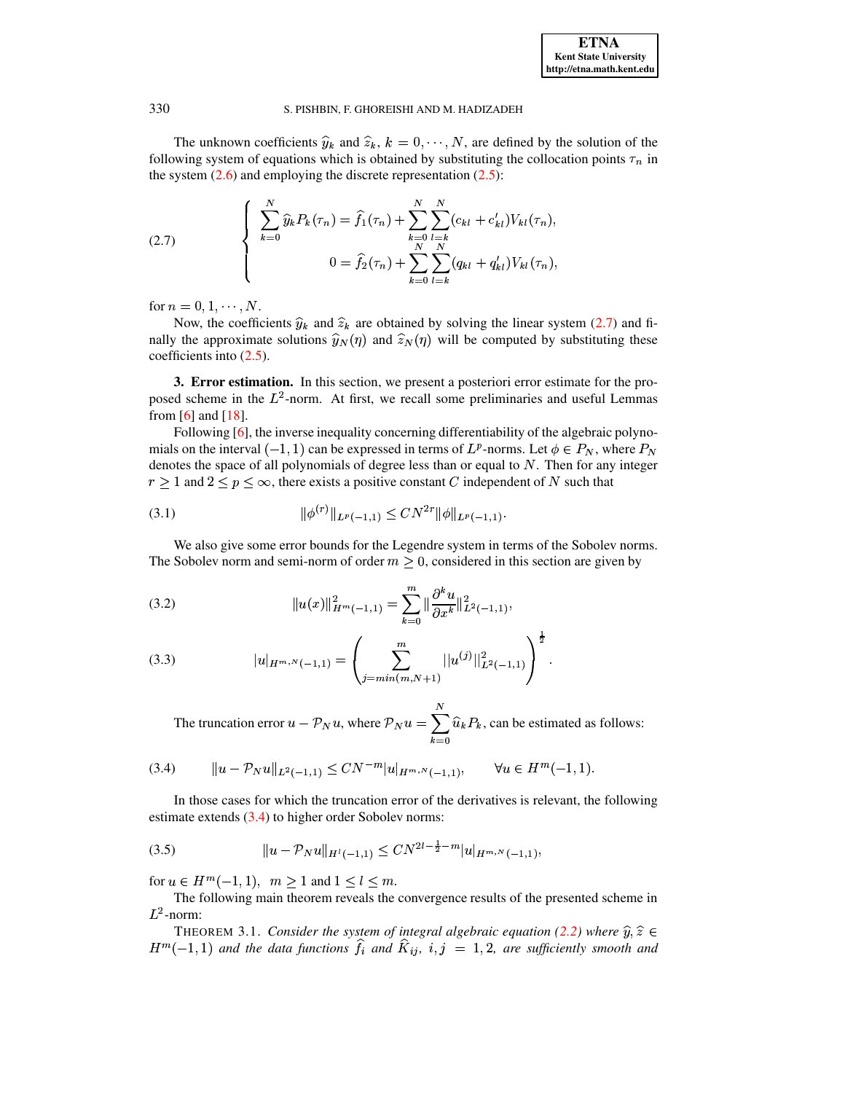

The unknown coefficients  $\hat{y}_k$  and  $\hat{z}_k$ ,  $k = 0, \dots, N$ , are defined by the solution of the wing system of equations which is obtained by substituting the collocation points  $\tau_n$  in following system of equations which is obtained by substituting the collocation points  $\tau_n$  in the system (2.6) and employing the discrete representation (2.5): the system  $(2.6)$  and employing the discrete representation  $(2.5)$ :

<span id="page-3-1"></span>(2.7) 
$$
\begin{cases} \sum_{k=0}^{N} \widehat{y}_k P_k(\tau_n) = \widehat{f}_1(\tau_n) + \sum_{k=0}^{N} \sum_{l=k}^{N} (c_{kl} + c'_{kl}) V_{kl}(\tau_n), \\ 0 = \widehat{f}_2(\tau_n) + \sum_{k=0}^{N} \sum_{l=k}^{N} (q_{kl} + q'_{kl}) V_{kl}(\tau_n), \end{cases}
$$

for  $n = 0, 1, \dots, N$ .<br>Now, the coeffici-

Now, the coefficients  $\hat{y}_k$  and  $\hat{z}_k$  are obtained by solving the linear system [\(2.7\)](#page-3-1) and finally the approximate solutions  $\hat{y}_N(\eta)$  and  $\hat{z}_N(\eta)$  will be computed by substituting these coefficients into (2.5). coefficients into [\(2.5\)](#page-2-1).

<span id="page-3-0"></span>**3. Error estimation.** In this section, we present a posteriori error estimate for the proposed scheme in the  $L^2$ -norm. At first, we recall some preliminaries and useful Lemmas from  $[6]$  and  $[18]$ .

Following  $[6]$ , the inverse inequality concerning differentiability of the algebraic polynomials on the interval  $(-1, 1)$  can be expressed in terms of  $L^p$ -norms. Let  $\phi \in P_N$ , where  $P_N$ <br>denotes the space of all polynomials of degree less than or equal to N. Then for any integer denotes the space of all polynomials of degree less than or equal to N. Then for any integer  $r \geq 1$  and  $2 \leq p \leq \infty$ , there exists a positive constant C independent of N such that

<span id="page-3-5"></span>® ª¯±°,² ®³)´ ¯ { <sup>r</sup> + ° ® <sup>ª</sup> ®I³)´ ¯ { (3.1)

We also give some error bounds for the Legendre system in terms of the Sobolev norms. The Sobolev norm and semi-norm of order  $m \geq 0$ , considered in this section are given by

<span id="page-3-3"></span>(3.2) 
$$
||u(x)||_{H^m(-1,1)}^2 = \sum_{k=0}^m ||\frac{\partial^k u}{\partial x^k}||_{L^2(-1,1)}^2,
$$

(3.3) 
$$
|u|_{H^{m,N}(-1,1)} = \left(\sum_{j=\min(m,N+1)}^m ||u^{(j)}||^2_{L^2(-1,1)}\right)^{\frac{1}{2}}.
$$

The truncation error  $u - \mathcal{P}_N u$ , where  $\mathcal{P}_N u = \sum_{k=0} \widehat{u}_k P_k$  !  $\widehat{u}_k P_k$ , can be estimated as follows:

<span id="page-3-2"></span>
$$
(3.4) \t\t ||u - \mathcal{P}_N u||_{L^2(-1,1)} \leq CN^{-m} |u|_{H^{m,N}(-1,1)}, \t \forall u \in H^m(-1,1).
$$

In those cases for which the truncation error of the derivatives is relevant, the following estimate extends [\(3.4\)](#page-3-2) to higher order Sobolev norms:

<span id="page-3-4"></span>
$$
(3.5) \t\t\t ||u - \mathcal{P}_N u||_{H^1(-1,1)} \leq CN^{2l - \frac{1}{2} - m} |u|_{H^{m,N}(-1,1)},
$$

for  $u \in H^m(-1,1)$ ,  $m \ge 1$  and  $1 \le l \le$ 

<span id="page-3-6"></span>The following main theorem reveals the convergence results of the presented scheme in  $L^2$ -norm:

<sup>+</sup> THEOREM 3.1. *Consider the system of integral algebraic equation [\(2.2\)](#page-2-2) where*  $(-1, 1)$  and the data functions  $f_i$  and  $K_{ij}$ ,  $i, j = 1, 2$ , are sufficiently smooth and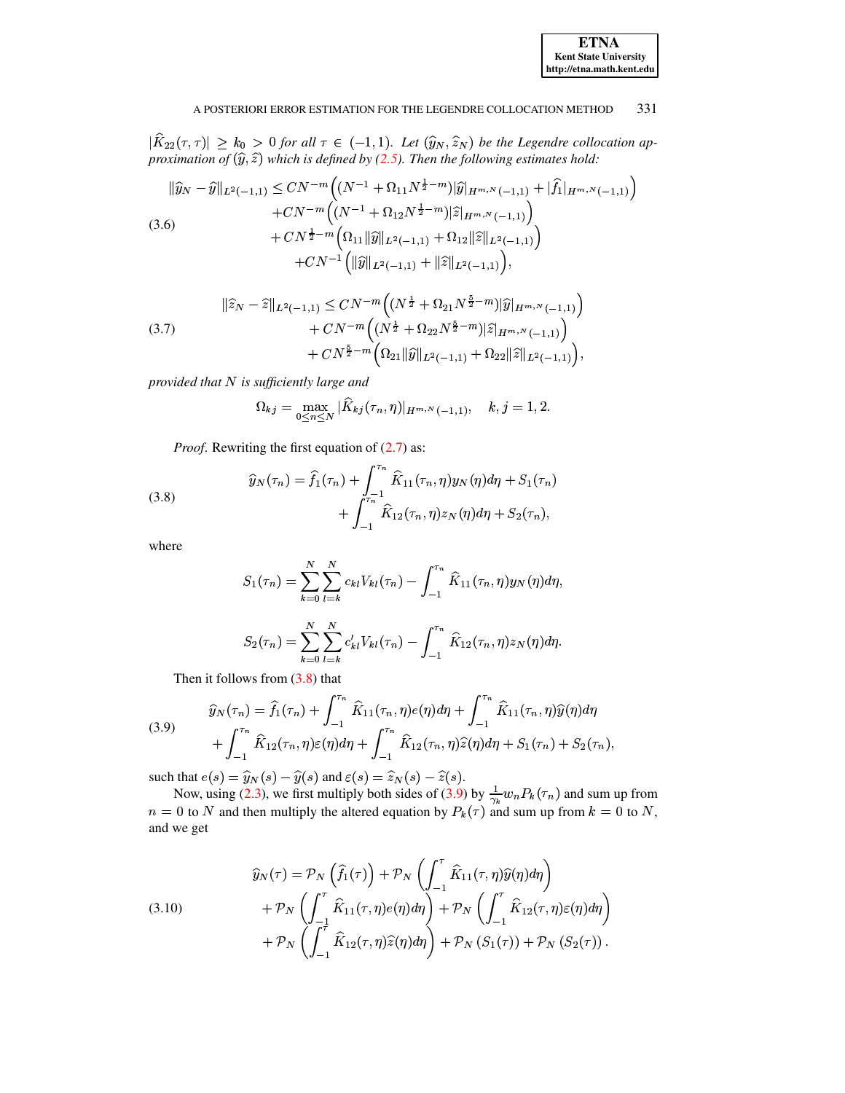| <b>ETNA</b>                  |
|------------------------------|
| <b>Kent State University</b> |
| http://etna.math.kent.edu    |

 $|\widehat{K}_{22}(\tau,\tau)| \geq k_0 > 0$  for all  $\tau \in (-1,1)$ . Let  $(\widehat{y}_N, \widehat{z}_N)$  be the Legendre collocation approximation of  $(\widehat{y}, \widehat{z})$  which is defined by (2.5). Then the following estimates hold:

<span id="page-4-3"></span>
$$
\|\widehat{y}_{N} - \widehat{y}\|_{L^{2}(-1,1)} \leq CN^{-m} \Big( (N^{-1} + \Omega_{11} N^{\frac{1}{2} - m}) |\widehat{y}|_{H^{m,N}(-1,1)} + |\widehat{f}_{1}|_{H^{m,N}(-1,1)} \Big) + CN^{-m} \Big( (N^{-1} + \Omega_{12} N^{\frac{1}{2} - m}) |\widehat{z}|_{H^{m,N}(-1,1)} \Big) + CN^{\frac{1}{2} - m} \Big( \Omega_{11} \|\widehat{y}\|_{L^{2}(-1,1)} + \Omega_{12} \|\widehat{z}\|_{L^{2}(-1,1)} \Big) + CN^{-1} \Big( \|\widehat{y}\|_{L^{2}(-1,1)} + \|\widehat{z}\|_{L^{2}(-1,1)} \Big),
$$

<span id="page-4-4"></span>
$$
\|\widehat{z}_N - \widehat{z}\|_{L^2(-1,1)} \le CN^{-m} \Big( (N^{\frac{1}{2}} + \Omega_{21} N^{\frac{5}{2} - m}) |\widehat{y}|_{H^{m,N}(-1,1)} \Big) + CN^{-m} \Big( (N^{\frac{1}{2}} + \Omega_{22} N^{\frac{5}{2} - m}) |\widehat{z}|_{H^{m,N}(-1,1)} \Big) + CN^{\frac{5}{2} - m} \Big( \Omega_{21} \|\widehat{y}\|_{L^2(-1,1)} + \Omega_{22} \|\widehat{z}\|_{L^2(-1,1)} \Big),
$$

provided that  $N$  is sufficiently large and

$$
\Omega_{kj} = \max_{0 \le n \le N} |\widehat{K}_{kj}(\tau_n, \eta)|_{H^{m,N}(-1,1)}, \quad k, j = 1, 2.
$$

*Proof.* Rewriting the first equation of (2.7) as:

<span id="page-4-0"></span>(3.8) 
$$
\widehat{y}_N(\tau_n) = \widehat{f}_1(\tau_n) + \int_{-\pi}^{\tau_n} \widehat{K}_{11}(\tau_n, \eta) y_N(\eta) d\eta + S_1(\tau_n) + \int_{-\pi}^{\tau_n} \widehat{K}_{12}(\tau_n, \eta) z_N(\eta) d\eta + S_2(\tau_n),
$$

where

$$
S_1(\tau_n) = \sum_{k=0}^N \sum_{l=k}^N c_{kl} V_{kl}(\tau_n) - \int_{-1}^{\tau_n} \widehat{K}_{11}(\tau_n, \eta) y_N(\eta) d\eta,
$$
  

$$
S_2(\tau_n) = \sum_{k=0}^N \sum_{l=k}^N c'_{kl} V_{kl}(\tau_n) - \int_{-1}^{\tau_n} \widehat{K}_{12}(\tau_n, \eta) z_N(\eta) d\eta.
$$

Then it follows from  $(3.8)$  that

<span id="page-4-1"></span>(3.9) 
$$
\widehat{y}_N(\tau_n) = \widehat{f}_1(\tau_n) + \int_{-1}^{\tau_n} \widehat{K}_{11}(\tau_n, \eta) e(\eta) d\eta + \int_{-1}^{\tau_n} \widehat{K}_{11}(\tau_n, \eta) \widehat{y}(\eta) d\eta + \int_{-1}^{\tau_n} \widehat{K}_{12}(\tau_n, \eta) \widehat{\epsilon}(\eta) d\eta + \int_{-1}^{\tau_n} \widehat{K}_{12}(\tau_n, \eta) \widehat{z}(\eta) d\eta + S_1(\tau_n) + S_2(\tau_n),
$$

such that  $e(s) = \hat{y}_N(s) - \hat{y}(s)$  and  $\varepsilon(s) = \hat{z}_N(s) - \hat{z}(s)$ .<br>Now, using (2.3), we first multiply both sides of (3.9) by  $\frac{1}{\gamma_k} w_n P_k(\tau_n)$  and sum up from  $n = 0$  to N and then multiply the altered equation by  $P_k(\tau)$  and sum up from  $k = 0$  to N, and we get

<span id="page-4-2"></span>(3.10) 
$$
\widehat{y}_N(\tau) = \mathcal{P}_N \left( \widehat{f}_1(\tau) \right) + \mathcal{P}_N \left( \int_{-1}^{\tau} \widehat{K}_{11}(\tau, \eta) \widehat{y}(\eta) d\eta \right) \n+ \mathcal{P}_N \left( \int_{-1}^{\tau} \widehat{K}_{11}(\tau, \eta) e(\eta) d\eta \right) + \mathcal{P}_N \left( \int_{-1}^{\tau} \widehat{K}_{12}(\tau, \eta) \epsilon(\eta) d\eta \right) \n+ \mathcal{P}_N \left( \int_{-1}^{\tau} \widehat{K}_{12}(\tau, \eta) \widehat{z}(\eta) d\eta \right) + \mathcal{P}_N \left( S_1(\tau) \right) + \mathcal{P}_N \left( S_2(\tau) \right).
$$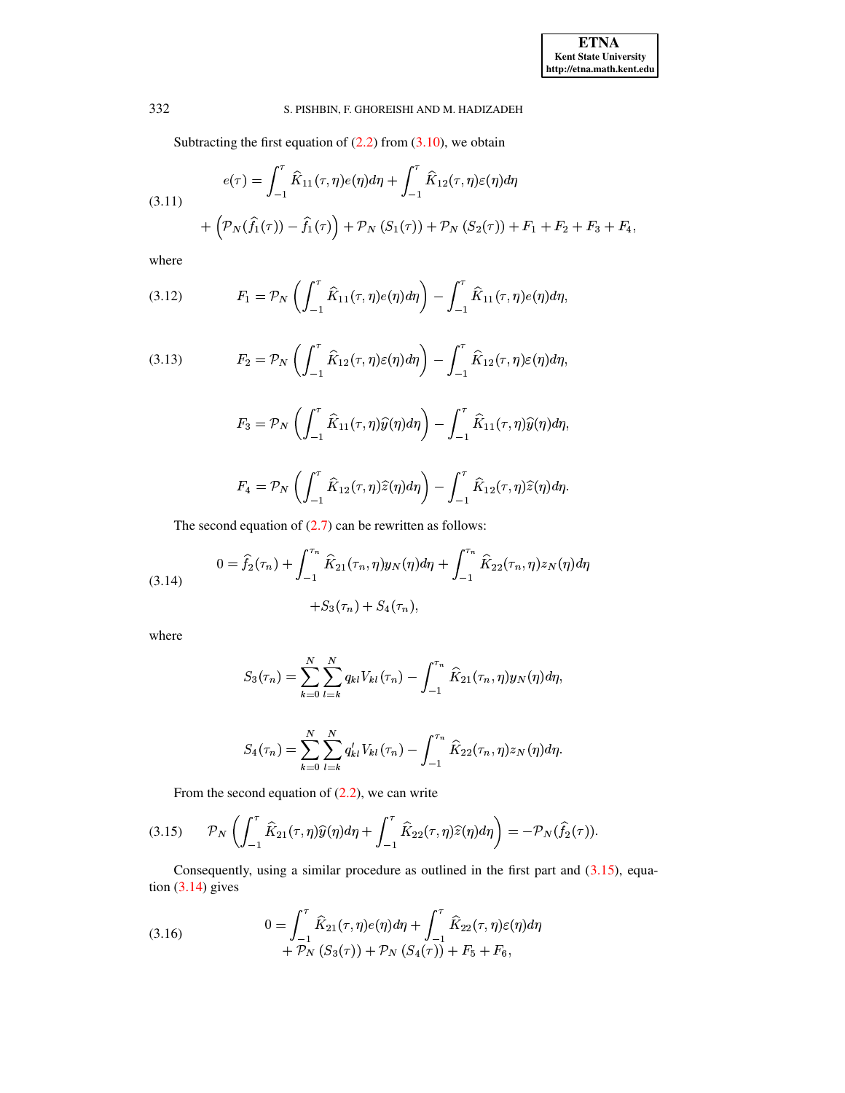Subtracting the first equation of  $(2.2)$  from  $(3.10)$ , we obtain

<span id="page-5-3"></span>(3.11)  

$$
e(\tau) = \int_{-1}^{\tau} \hat{K}_{11}(\tau, \eta) e(\eta) d\eta + \int_{-1}^{\tau} \hat{K}_{12}(\tau, \eta) \varepsilon(\eta) d\eta + \left( \mathcal{P}_N(\hat{f}_1(\tau)) - \hat{f}_1(\tau) \right) + \mathcal{P}_N(S_1(\tau)) + \mathcal{P}_N(S_2(\tau)) + F_1 + F_2 + F_3 + F_4,
$$

where

<span id="page-5-4"></span>(3.12) 
$$
F_1 = \mathcal{P}_N \left( \int_{-1}^{\tau} \hat{K}_{11}(\tau, \eta) e(\eta) d\eta \right) - \int_{-1}^{\tau} \hat{K}_{11}(\tau, \eta) e(\eta) d\eta,
$$

<span id="page-5-5"></span>(3.13) 
$$
F_2 = \mathcal{P}_N \left( \int_{-1}^{\tau} \widehat{K}_{12}(\tau, \eta) \varepsilon(\eta) d\eta \right) - \int_{-1}^{\tau} \widehat{K}_{12}(\tau, \eta) \varepsilon(\eta) d\eta,
$$

$$
F_3 = \mathcal{P}_N\left(\int_{-1}^{\tau} \widehat{K}_{11}(\tau,\eta)\widehat{y}(\eta)d\eta\right) - \int_{-1}^{\tau} \widehat{K}_{11}(\tau,\eta)\widehat{y}(\eta)d\eta,
$$

$$
F_4 = \mathcal{P}_N\left(\int_{-1}^{\tau} \widehat{K}_{12}(\tau,\eta)\widehat{z}(\eta)d\eta\right) - \int_{-1}^{\tau} \widehat{K}_{12}(\tau,\eta)\widehat{z}(\eta)d\eta.
$$

The second equation of  $(2.7)$  can be rewritten as follows:

<span id="page-5-1"></span>(3.14) 
$$
0 = \hat{f}_2(\tau_n) + \int_{-1}^{\tau_n} \hat{K}_{21}(\tau_n, \eta) y_N(\eta) d\eta + \int_{-1}^{\tau_n} \hat{K}_{22}(\tau_n, \eta) z_N(\eta) d\eta + S_3(\tau_n) + S_4(\tau_n),
$$

where

$$
S_3(\tau_n) = \sum_{k=0}^{N} \sum_{l=k}^{N} q_{kl} V_{kl}(\tau_n) - \int_{-1}^{\tau_n} \widehat{K}_{21}(\tau_n, \eta) y_N(\eta) d\eta,
$$

$$
S_4(\tau_n) = \sum_{k=0}^N \sum_{l=k}^N q'_{kl} V_{kl}(\tau_n) - \int_{-1}^{\tau_n} \hat{K}_{22}(\tau_n, \eta) z_N(\eta) d\eta.
$$

From the second equation of  $(2.2)$ , we can write

<span id="page-5-0"></span>
$$
(3.15) \qquad \mathcal{P}_N\left(\int_{-1}^{\tau}\widehat{K}_{21}(\tau,\eta)\widehat{y}(\eta)d\eta+\int_{-1}^{\tau}\widehat{K}_{22}(\tau,\eta)\widehat{z}(\eta)d\eta\right)=-\mathcal{P}_N(\widehat{f}_2(\tau)).
$$

Consequently, using a similar procedure as outlined in the first part and  $(3.15)$ , equation  $(3.14)$  gives

<span id="page-5-2"></span>(3.16) 
$$
0 = \int_{-1}^{7} \widehat{K}_{21}(\tau, \eta) e(\eta) d\eta + \int_{-1}^{7} \widehat{K}_{22}(\tau, \eta) \varepsilon(\eta) d\eta + \mathcal{P}_N (S_3(\tau)) + \mathcal{P}_N (S_4(\tau)) + F_5 + F_6,
$$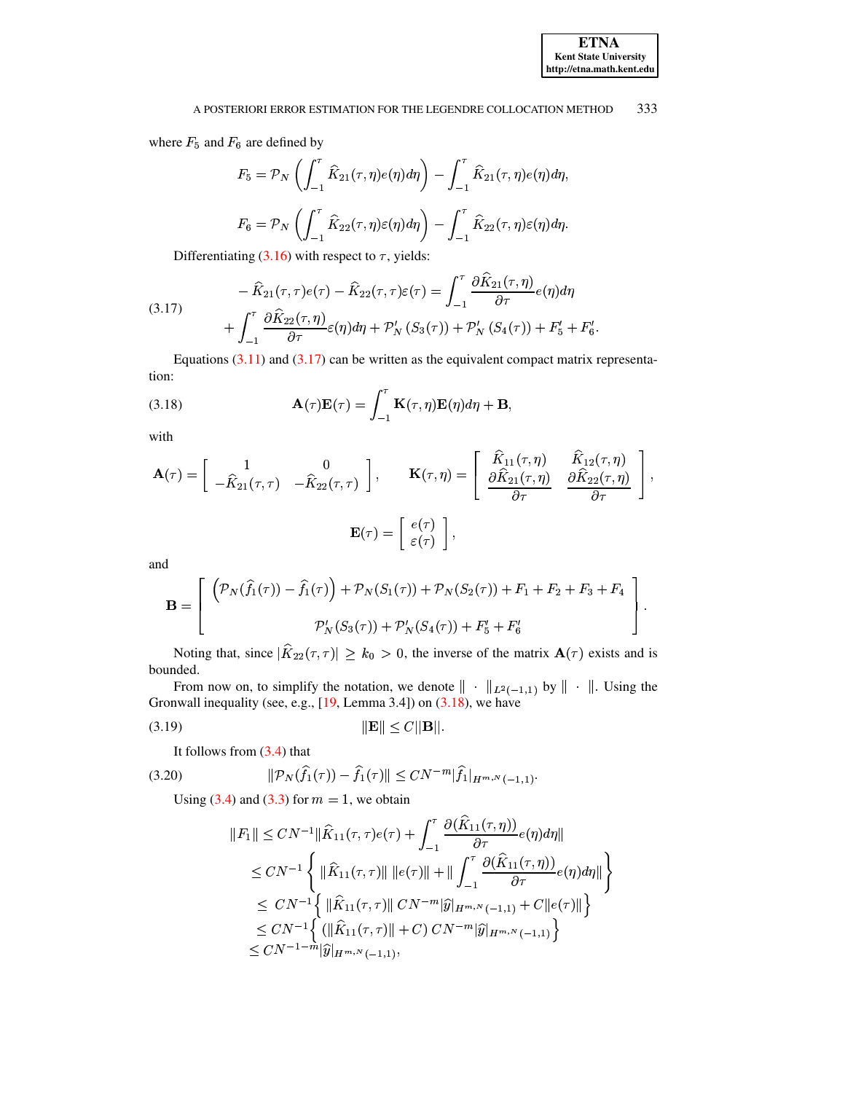where  $F_5$  and  $F_6$  are defined by

$$
F_5 = \mathcal{P}_N \left( \int_{-1}^{\tau} \hat{K}_{21}(\tau, \eta) e(\eta) d\eta \right) - \int_{-1}^{\tau} \hat{K}_{21}(\tau, \eta) e(\eta) d\eta,
$$
  

$$
F_6 = \mathcal{P}_N \left( \int_{-1}^{\tau} \hat{K}_{22}(\tau, \eta) \varepsilon(\eta) d\eta \right) - \int_{-1}^{\tau} \hat{K}_{22}(\tau, \eta) \varepsilon(\eta) d\eta.
$$

Differentiating (3.16) with respect to  $\tau$ , yields:

<span id="page-6-0"></span>(3.17) 
$$
- \widehat{K}_{21}(\tau,\tau)e(\tau) - \widehat{K}_{22}(\tau,\tau)\varepsilon(\tau) = \int_{-1}^{\tau} \frac{\partial \widehat{K}_{21}(\tau,\eta)}{\partial \tau} e(\eta) d\eta + \int_{-1}^{\tau} \frac{\partial \widehat{K}_{22}(\tau,\eta)}{\partial \tau} \varepsilon(\eta) d\eta + \mathcal{P}'_{N}(S_{3}(\tau)) + \mathcal{P}'_{N}(S_{4}(\tau)) + F'_{5} + F'_{6}.
$$

Equations  $(3.11)$  and  $(3.17)$  can be written as the equivalent compact matrix representation:

<span id="page-6-1"></span>(3.18) 
$$
\mathbf{A}(\tau)\mathbf{E}(\tau) = \int_{-1}^{\tau} \mathbf{K}(\tau, \eta) \mathbf{E}(\eta) d\eta + \mathbf{B},
$$

with

$$
\mathbf{A}(\tau) = \begin{bmatrix} 1 & 0 \\ -\widehat{K}_{21}(\tau,\tau) & -\widehat{K}_{22}(\tau,\tau) \end{bmatrix}, \qquad \mathbf{K}(\tau,\eta) = \begin{bmatrix} \widehat{K}_{11}(\tau,\eta) & \widehat{K}_{12}(\tau,\eta) \\ \frac{\partial \widehat{K}_{21}(\tau,\eta)}{\partial \tau} & \frac{\partial \widehat{K}_{22}(\tau,\eta)}{\partial \tau} \end{bmatrix},
$$

$$
\mathbf{E}(\tau) = \begin{bmatrix} e(\tau) \\ \varepsilon(\tau) \end{bmatrix},
$$

and

$$
\mathbf{B} = \begin{bmatrix} (\mathcal{P}_N(\hat{f}_1(\tau)) - \hat{f}_1(\tau)) + \mathcal{P}_N(S_1(\tau)) + \mathcal{P}_N(S_2(\tau)) + F_1 + F_2 + F_3 + F_4 \\ \mathcal{P}_N'(S_3(\tau)) + \mathcal{P}_N'(S_4(\tau)) + F_5' + F_6' \end{bmatrix}.
$$

Noting that, since  $|\widehat{K}_{22}(\tau,\tau)| \geq k_0 > 0$ , the inverse of the matrix  $\mathbf{A}(\tau)$  exists and is bounded.

From now on, to simplify the notation, we denote  $\|\cdot\|_{L^2(-1,1)}$  by  $\|\cdot\|$ . Using the Gronwall inequality (see, e.g.,  $[19, \text{Lemma } 3.4]$ ) on  $(3.18)$ , we have

$$
||\mathbf{E}|| \le C||\mathbf{B}||.
$$

<span id="page-6-2"></span>It follows from  $(3.4)$  that

(3.20) 
$$
\|\mathcal{P}_N(\hat{f}_1(\tau)) - \hat{f}_1(\tau)\| \leq CN^{-m} |\hat{f}_1|_{H^{m,N}(-1,1)}.
$$

Using  $(3.4)$  and  $(3.3)$  for  $m = 1$ , we obtain

$$
||F_1|| \le CN^{-1} ||\hat{K}_{11}(\tau,\tau)e(\tau) + \int_{-1}^{\tau} \frac{\partial (\hat{K}_{11}(\tau,\eta))}{\partial \tau} e(\eta) d\eta ||
$$
  
\n
$$
\le CN^{-1} \left\{ ||\hat{K}_{11}(\tau,\tau)|| ||e(\tau)|| + || \int_{-1}^{\tau} \frac{\partial (\hat{K}_{11}(\tau,\eta))}{\partial \tau} e(\eta) d\eta || \right\}
$$
  
\n
$$
\le CN^{-1} \left\{ ||\hat{K}_{11}(\tau,\tau)|| CN^{-m} |\hat{y}|_{H^{m,N}(-1,1)} + C ||e(\tau)|| \right\}
$$
  
\n
$$
\le CN^{-1} \left\{ (||\hat{K}_{11}(\tau,\tau)|| + C) CN^{-m} |\hat{y}|_{H^{m,N}(-1,1)} \right\}
$$
  
\n
$$
\le CN^{-1-m} |\hat{y}|_{H^{m,N}(-1,1)},
$$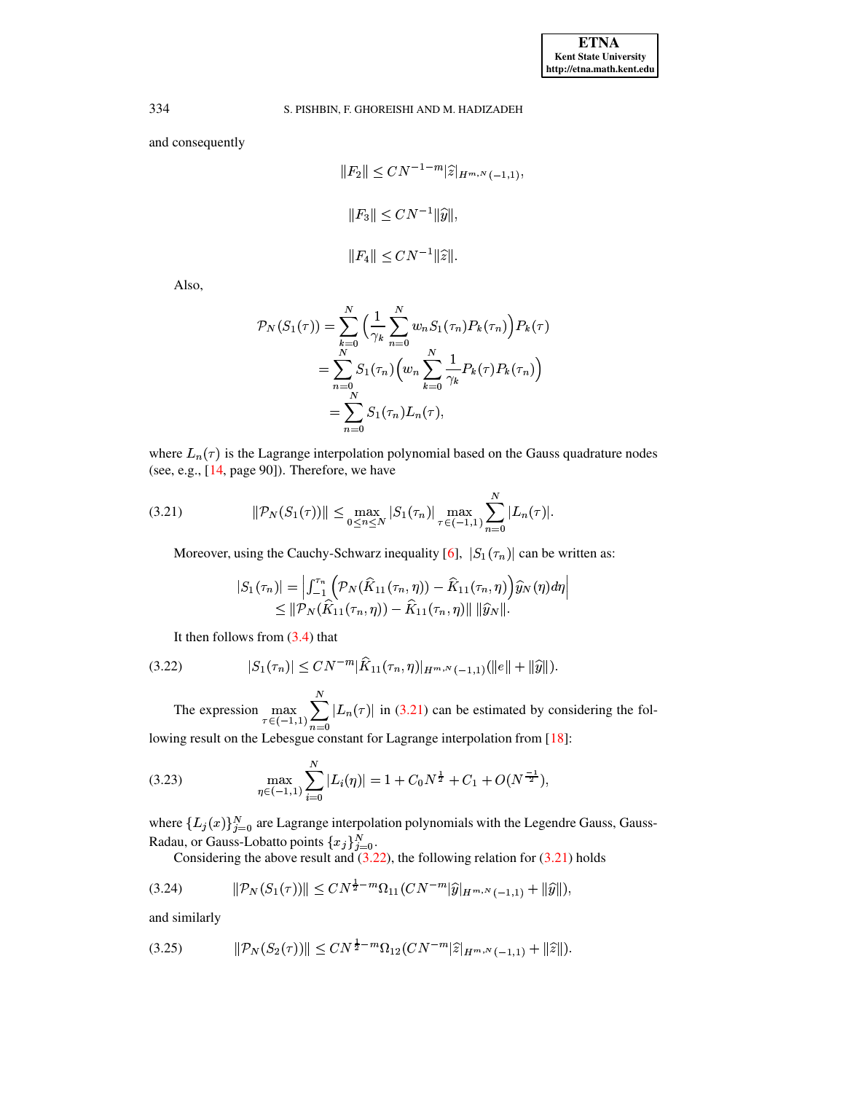and consequently

$$
||F_2|| \le CN^{-1-m} |\widehat{z}|_{H^{m,N}(-1,1)},
$$
  

$$
||F_3|| \le CN^{-1} ||\widehat{y}||,
$$
  

$$
||F_4|| \le CN^{-1} ||\widehat{z}||.
$$

Also,

$$
P_N(S_1(\tau)) = \sum_{k=0}^N \left( \frac{1}{\gamma_k} \sum_{n=0}^N w_n S_1(\tau_n) P_k(\tau_n) \right) P_k(\tau)
$$
  
= 
$$
\sum_{n=0}^N S_1(\tau_n) \left( w_n \sum_{k=0}^N \frac{1}{\gamma_k} P_k(\tau) P_k(\tau_n) \right)
$$
  
= 
$$
\sum_{n=0}^N S_1(\tau_n) L_n(\tau),
$$

where  $L_n(\tau)$  is the Lagrange interpolation polynomial based on the Gauss quadrature nodes (see, e.g., [14, page 90]). Therefore, we have

<span id="page-7-0"></span>(3.21) 
$$
\|\mathcal{P}_N(S_1(\tau))\| \leq \max_{0 \leq n \leq N} |S_1(\tau_n)| \max_{\tau \in (-1,1)} \sum_{n=0}^N |L_n(\tau)|.
$$

Moreover, using the Cauchy-Schwarz inequality [6],  $|S_1(\tau_n)|$  can be written as:

$$
|S_1(\tau_n)| = \left| \int_{-1}^{\tau_n} \left( \mathcal{P}_N(\widehat{K}_{11}(\tau_n, \eta)) - \widehat{K}_{11}(\tau_n, \eta) \right) \widehat{y}_N(\eta) d\eta \right|
$$
  
\$\leq\$  $||\mathcal{P}_N(\widehat{K}_{11}(\tau_n, \eta)) - \widehat{K}_{11}(\tau_n, \eta)|| ||\widehat{y}_N||.$ 

It then follows from  $(3.4)$  that

<span id="page-7-1"></span>
$$
(3.22) \t |S_1(\tau_n)| \leq CN^{-m} |\widehat{K}_{11}(\tau_n, \eta)|_{H^{m,N}(-1,1)} (\|e\| + \|\widehat{y}\|).
$$

The expression  $\max_{\tau \in (-1,1)} \sum_{n=0}^{N} |L_n(\tau)|$  in (3.21) can be estimated by considering the fol-

lowing result on the Lebesgue constant for Lagrange interpolation from [18]:

<span id="page-7-4"></span>(3.23) 
$$
\max_{\eta \in (-1,1)} \sum_{i=0}^{N} |L_i(\eta)| = 1 + C_0 N^{\frac{1}{2}} + C_1 + O(N^{\frac{-1}{2}}),
$$

where  $\{L_j(x)\}_{j=0}^N$  are Lagrange interpolation polynomials with the Legendre Gauss, Gauss-Radau, or Gauss-Lobatto points  $\{x_j\}_{j=0}^N$ .<br>Considering the above result and (3.22), the following relation for (3.21) holds

<span id="page-7-2"></span>
$$
(3.24) \t ||\mathcal{P}_N(S_1(\tau))|| \leq CN^{\frac{1}{2}-m}\Omega_{11}(CN^{-m}|\widehat{y}|_{H^{m,N}(-1,1)} + ||\widehat{y}||),
$$

and similarly

<span id="page-7-3"></span>
$$
(3.25) \t\t ||\mathcal{P}_N(S_2(\tau))|| \leq CN^{\frac{1}{2}-m}\Omega_{12}(CN^{-m}|\widehat{z}|_{H^{m,N}(-1,1)} + ||\widehat{z}||).
$$

334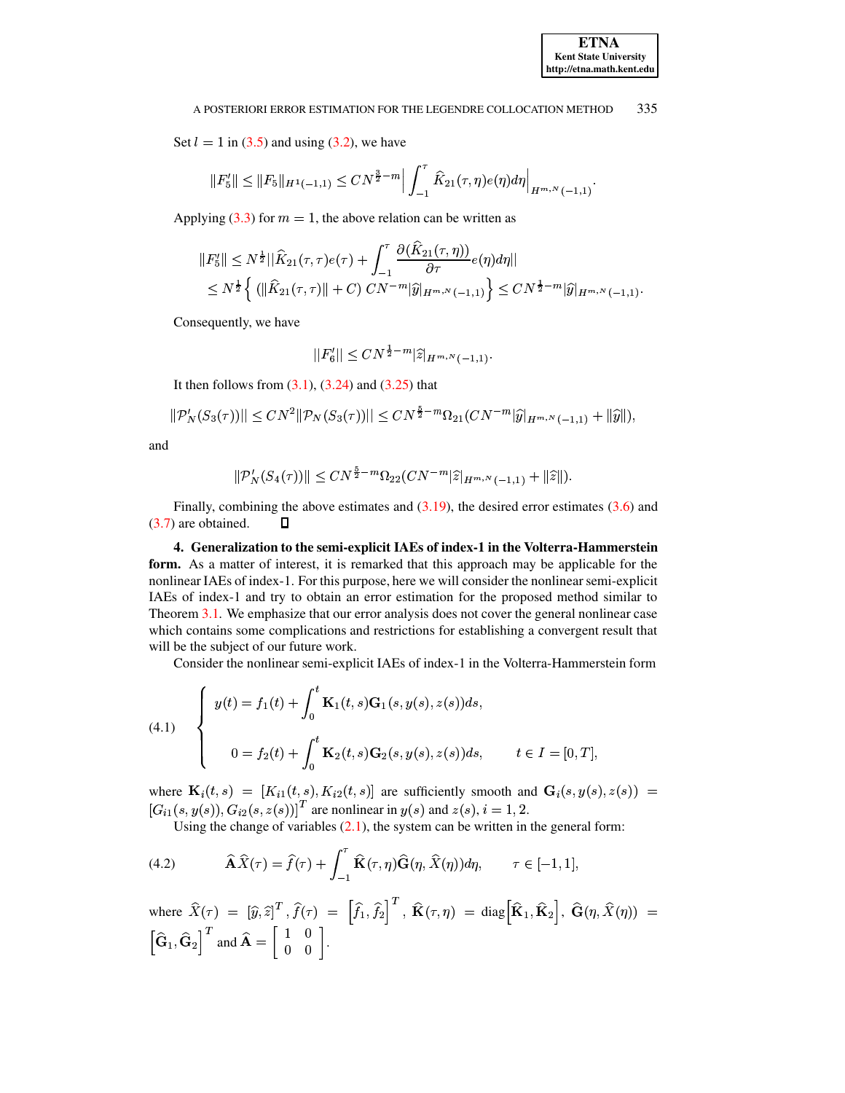Set  $l = 1$  in (3.5) and using (3.2), we have

$$
||F_5'|| \leq ||F_5||_{H^1(-1,1)} \leq CN^{\frac{3}{2}-m} \Big| \int_{-1}^{\tau} \widehat{K}_{21}(\tau,\eta) e(\eta) d\eta \Big|_{H^{m,N}(-1,1)}
$$

Applying (3.3) for  $m = 1$ , the above relation can be written as

$$
||F_5'|| \le N^{\frac{1}{2}}||\widehat{K}_{21}(\tau,\tau)e(\tau) + \int_{-1}^{\tau} \frac{\partial(\widehat{K}_{21}(\tau,\eta))}{\partial \tau} e(\eta) d\eta||
$$
  
\$\le N^{\frac{1}{2}} \left\{ (||\widehat{K}\_{21}(\tau,\tau)|| + C) CN^{-m}|\widehat{y}|\_{H^m,N}(-1,1) \right\} \le CN^{\frac{1}{2}-m}|\widehat{y}|\_{H^{m,N}(-1,1)}

Consequently, we have

$$
|F_6'|| \leq CN^{\frac{1}{2}-m} |\widehat{z}|_{H^{m,N}(-1,1)}.
$$

It then follows from  $(3.1)$ ,  $(3.24)$  and  $(3.25)$  that

$$
|\mathcal{P}'_N(S_3(\tau))|| \le CN^2 \|\mathcal{P}_N(S_3(\tau))|| \le CN^{\frac{9}{2}-m}\Omega_{21}(CN^{-m}|\widehat{y}|_{H^{m,N}(-1,1)} + \|\widehat{y}\|),
$$

and

$$
\|\mathcal{P}_N'(S_4(\tau))\| \le CN^{\frac{5}{2}-m}\Omega_{22}(CN^{-m}|\widehat{z}|_{H^{m,N}(-1,1)} + \|\widehat{z}\|).
$$

Finally, combining the above estimates and  $(3.19)$ , the desired error estimates  $(3.6)$  and  $(3.7)$  are obtained. Д

<span id="page-8-0"></span>4. Generalization to the semi-explicit IAEs of index-1 in the Volterra-Hammerstein form. As a matter of interest, it is remarked that this approach may be applicable for the nonlinear IAEs of index-1. For this purpose, here we will consider the nonlinear semi-explicit IAEs of index-1 and try to obtain an error estimation for the proposed method similar to Theorem 3.1. We emphasize that our error analysis does not cover the general nonlinear case which contains some complications and restrictions for establishing a convergent result that will be the subject of our future work.

Consider the nonlinear semi-explicit IAEs of index-1 in the Volterra-Hammerstein form

(4.1) 
$$
\begin{cases} y(t) = f_1(t) + \int_0^t \mathbf{K}_1(t,s) \mathbf{G}_1(s,y(s),z(s)) ds, \\ 0 = f_2(t) + \int_0^t \mathbf{K}_2(t,s) \mathbf{G}_2(s,y(s),z(s)) ds, \quad t \in I = [0,T]. \end{cases}
$$

where  $\mathbf{K}_i(t,s) = [K_{i1}(t,s), K_{i2}(t,s)]$  are sufficiently smooth and  $\mathbf{G}_i(s,y(s),z(s)) =$  $[G_{i1}(s, y(s)), G_{i2}(s, z(s))]^T$  are nonlinear in  $y(s)$  and  $z(s), i = 1, 2$ .

Using the change of variables  $(2.1)$ , the system can be written in the general form:

<span id="page-8-1"></span>(4.2) 
$$
\widehat{\mathbf{A}}\widehat{X}(\tau) = \widehat{f}(\tau) + \int_{-1}^{\tau} \widehat{\mathbf{K}}(\tau, \eta) \widehat{\mathbf{G}}(\eta, \widehat{X}(\eta)) d\eta, \qquad \tau \in [-1, 1],
$$

where 
$$
\widehat{X}(\tau) = [\widehat{y}, \widehat{z}]^T
$$
,  $\widehat{f}(\tau) = [\widehat{f}_1, \widehat{f}_2]^T$ ,  $\widehat{\mathbf{K}}(\tau, \eta) = \text{diag}[\widehat{\mathbf{K}}_1, \widehat{\mathbf{K}}_2]$ ,  $\widehat{\mathbf{G}}(\eta, \widehat{X}(\eta)) = [\widehat{\mathbf{G}}_1, \widehat{\mathbf{G}}_2]^T$  and  $\widehat{\mathbf{A}} = \begin{bmatrix} 1 & 0 \\ 0 & 0 \end{bmatrix}$ .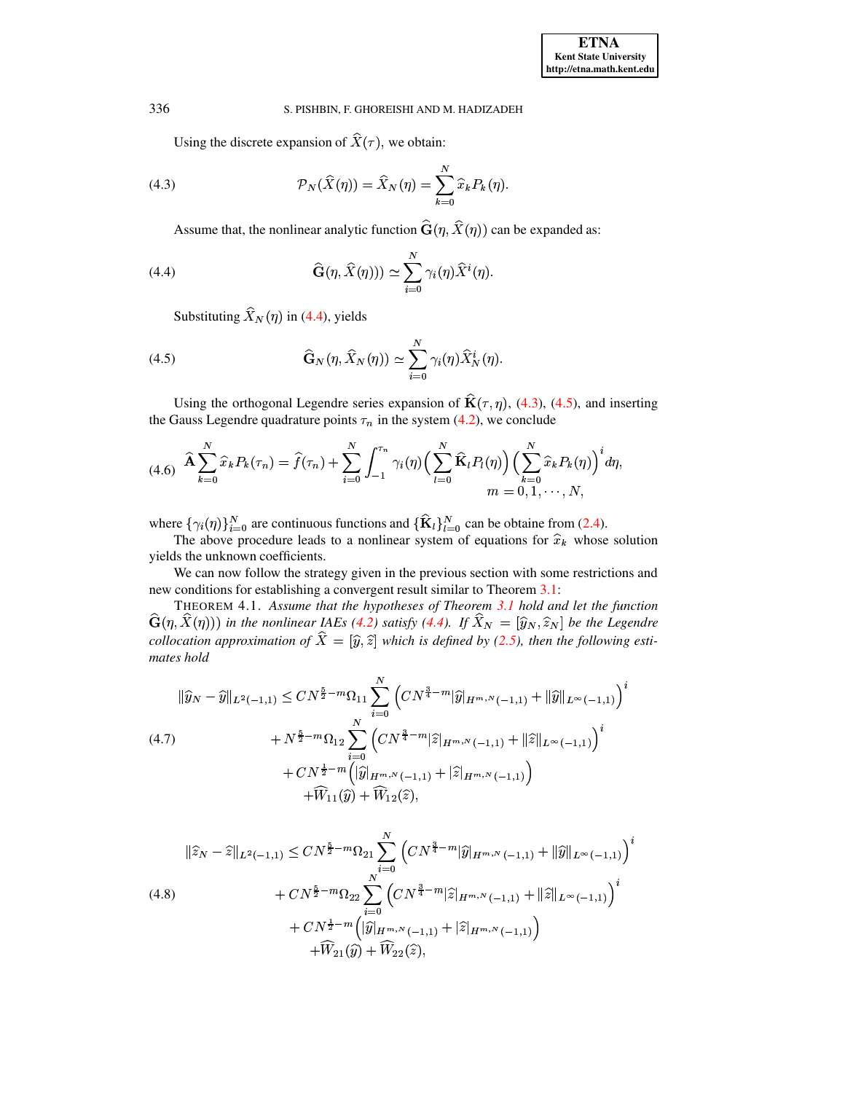<span id="page-9-1"></span>Using the discrete expansion of  $X(\tau)$ , we obtain:

(4.3) 
$$
\mathcal{P}_N(\widehat{X}(\eta)) = \widehat{X}_N(\eta) = \sum_{k=0}^N \widehat{x}_k P_k(\eta).
$$

<span id="page-9-0"></span>Assume that, the nonlinear analytic function  $\mathbf{G}(\eta, X(\eta))$  can be expanded as: <sup>o</sup> <sup>o</sup> <sup>o</sup> <sup>o</sup>

(4.4) 
$$
\widehat{\mathbf{G}}(\eta, \widehat{X}(\eta))) \simeq \sum_{i=0}^{N} \gamma_i(\eta) \widehat{X}^i(\eta).
$$

<span id="page-9-2"></span>Substituting  $X_N(\eta)$  in [\(4.4\)](#page-9-0), yields

(4.5) 
$$
\widehat{\mathbf{G}}_N(\eta, \widehat{X}_N(\eta)) \simeq \sum_{i=0}^N \gamma_i(\eta) \widehat{X}_N^i(\eta).
$$

Using the orthogonal Legendre series expansion of  $\mathbf{K}(\tau, \eta)$ , [\(4.3\)](#page-9-1), [\(4.5\)](#page-9-2), and inserting the Gauss Legendre quadrature points  $\tau_n$  in the system [\(4.2\)](#page-8-1), we conclude

<span id="page-9-3"></span>
$$
(4.6) \quad \widehat{\mathbf{A}} \sum_{k=0}^{N} \widehat{x}_{k} P_{k}(\tau_{n}) = \widehat{f}(\tau_{n}) + \sum_{i=0}^{N} \int_{-1}^{\tau_{n}} \gamma_{i}(\eta) \Big( \sum_{l=0}^{N} \widehat{\mathbf{K}}_{l} P_{l}(\eta) \Big) \Big( \sum_{k=0}^{N} \widehat{x}_{k} P_{k}(\eta) \Big)^{i} d\eta, \nm = 0, 1, \cdots, N,
$$

where  $\{\gamma_i(\eta)\}_{i=0}^N$  are continuous functions and  $\{\widehat{\mathbf{K}}_l\}_{l=0}^N$  can be obtaine from [\(2.4\)](#page-2-4).<br>The above procedure leads to a nonlinear system of equations for  $\widehat{x}_k$  whose

re { $\gamma_i(\eta)$ } $\gamma_{i=0}$  are continuous functions and { $\kappa_i$ } $\gamma_{i=0}$  can be obtaine from (2.4).<br>The above procedure leads to a nonlinear system of equations for  $\hat{x}_k$  whose solution yields the unknown coefficients.

We can now follow the strategy given in the previous section with some restrictions and new conditions for establishing a convergent result similar to Theorem [3.1:](#page-3-6)

<span id="page-9-6"></span>THEOREM 4.1. *Assume that the hypotheses of Theorem [3.1](#page-3-6) hold and let the function*  $\mathbf{G}(\eta, X(\eta))$  in the nonlinear IAEs (4.2) satisfy (4.4). If  $X_N = [\hat{y}_N, \hat{z}_N]$  be the Legendre<br>collocation approximation of  $\hat{Y} = [\hat{y}_N \hat{z}]$  which is defined by (2.5), then the following esti- $\mathbf{G}(\eta, X(\eta))$  in the nonlinear IAEs [\(4.2\)](#page-8-1) satisfy [\(4.4\)](#page-9-0). If  $X_N = [\hat{y}_N, \hat{z}_N]$  be the Legendre collocation approximation of  $\hat{X} = [\hat{y}, \hat{z}]$  which is defined by [\(2.5\)](#page-2-1), then the following estimates hold *mates hold*

<span id="page-9-4"></span>
$$
\|\widehat{y}_{N} - \widehat{y}\|_{L^{2}(-1,1)} \le CN^{\frac{5}{2} - m} \Omega_{11} \sum_{i=0}^{N} \left(CN^{\frac{3}{4} - m} |\widehat{y}|_{H^{m,N}(-1,1)} + \|\widehat{y}\|_{L^{\infty}(-1,1)}\right)^{i}
$$
  
\n
$$
+ N^{\frac{5}{2} - m} \Omega_{12} \sum_{i=0}^{N} \left(CN^{\frac{3}{4} - m} |\widehat{z}|_{H^{m,N}(-1,1)} + \|\widehat{z}\|_{L^{\infty}(-1,1)}\right)^{i}
$$
  
\n
$$
+ CN^{\frac{1}{2} - m} \left(|\widehat{y}|_{H^{m,N}(-1,1)} + |\widehat{z}|_{H^{m,N}(-1,1)}\right)
$$
  
\n
$$
+ \widehat{W}_{11}(\widehat{y}) + \widehat{W}_{12}(\widehat{z}),
$$

<span id="page-9-5"></span>
$$
\|\hat{z}_{N} - \hat{z}\|_{L^{2}(-1,1)} \le CN^{\frac{5}{2} - m} \Omega_{21} \sum_{i=0}^{N} \left(CN^{\frac{3}{4} - m} |\hat{y}|_{H^{m,N}(-1,1)} + \|\hat{y}\|_{L^{\infty}(-1,1)}\right)^{i}
$$
  
(4.8)  

$$
+ CN^{\frac{5}{2} - m} \Omega_{22} \sum_{i=0}^{N} \left(CN^{\frac{3}{4} - m} |\hat{z}|_{H^{m,N}(-1,1)} + \|\hat{z}\|_{L^{\infty}(-1,1)}\right)^{i}
$$

$$
+ CN^{\frac{1}{2} - m} \left(|\hat{y}|_{H^{m,N}(-1,1)} + |\hat{z}|_{H^{m,N}(-1,1)}\right)
$$

$$
+ \widehat{W}_{21}(\hat{y}) + \widehat{W}_{22}(\hat{z}),
$$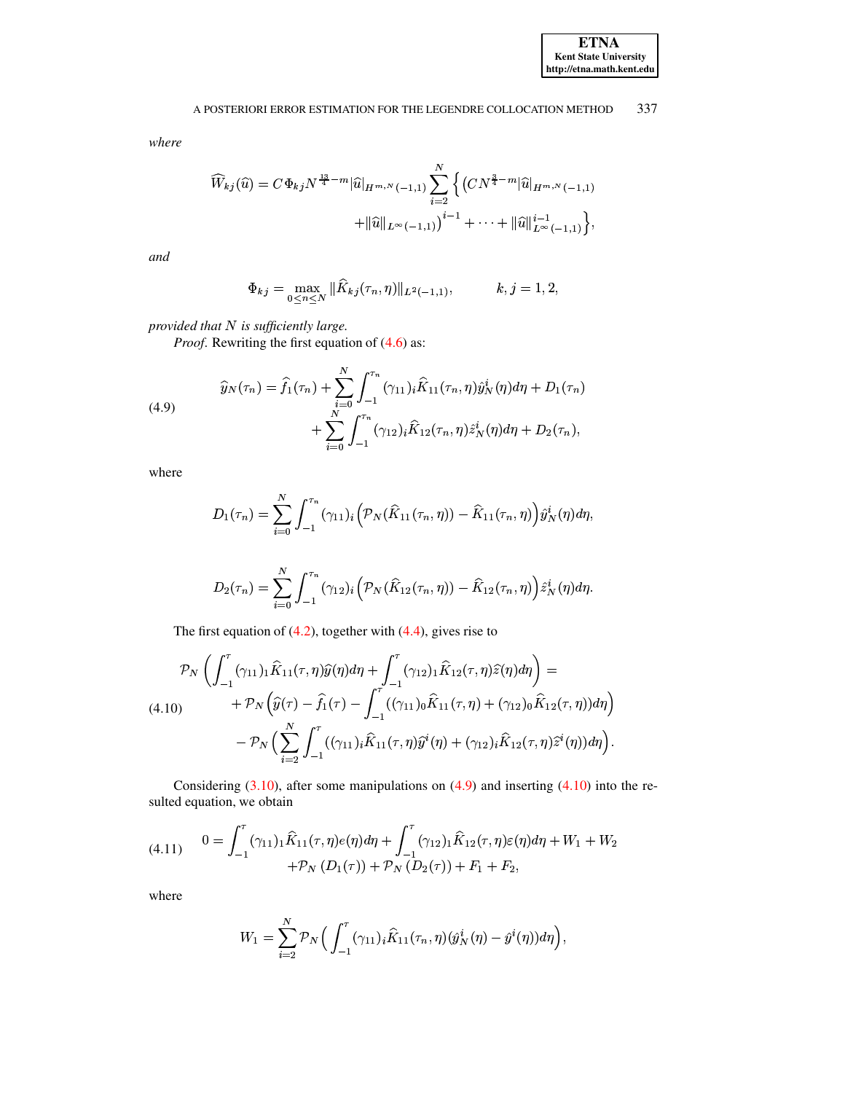where

$$
\widehat{W}_{kj}(\widehat{u}) = C\Phi_{kj} N^{\frac{13}{4}-m} |\widehat{u}|_{H^{m,N}(-1,1)} \sum_{i=2}^{N} \left\{ \left( CN^{\frac{3}{4}-m} |\widehat{u}|_{H^{m,N}(-1,1)} \right) + ||\widehat{u}||_{L^{\infty}(-1,1)} \right\} + \cdots + ||\widehat{u}||_{L^{\infty}(-1,1)}^{i-1} \left\},
$$

and

$$
\Phi_{kj} = \max_{0 \le n \le N} \|\widehat{K}_{kj}(\tau_n, \eta)\|_{L^2(-1,1)}, \qquad k, j = 1, 2,
$$

provided that  $N$  is sufficiently large.

*Proof.* Rewriting the first equation of (4.6) as:

<span id="page-10-0"></span>(4.9) 
$$
\widehat{y}_N(\tau_n) = \widehat{f}_1(\tau_n) + \sum_{i=0}^N \int_{-1}^{\tau_n} (\gamma_{11})_i \widehat{K}_{11}(\tau_n, \eta) \widehat{y}_N^i(\eta) d\eta + D_1(\tau_n) + \sum_{i=0}^N \int_{-1}^{\tau_n} (\gamma_{12})_i \widehat{K}_{12}(\tau_n, \eta) \widehat{z}_N^i(\eta) d\eta + D_2(\tau_n),
$$

where

$$
D_1(\tau_n) = \sum_{i=0}^N \int_{-1}^{\tau_n} (\gamma_{11})_i \Big( \mathcal{P}_N(\widehat{K}_{11}(\tau_n, \eta)) - \widehat{K}_{11}(\tau_n, \eta) \Big) \widehat{y}_N^i(\eta) d\eta,
$$

$$
D_2(\tau_n) = \sum_{i=0}^N \int_{-1}^{\tau_n} (\gamma_{12})_i \Big( \mathcal{P}_N(\widehat{K}_{12}(\tau_n, \eta)) - \widehat{K}_{12}(\tau_n, \eta) \Big) \widehat{z}_N^i(\eta) d\eta.
$$

The first equation of  $(4.2)$ , together with  $(4.4)$ , gives rise to

<span id="page-10-1"></span>
$$
\mathcal{P}_N\left(\int_{-1}^{\tau}(\gamma_{11})_1\hat{K}_{11}(\tau,\eta)\hat{y}(\eta)d\eta + \int_{-1}^{\tau}(\gamma_{12})_1\hat{K}_{12}(\tau,\eta)\hat{z}(\eta)d\eta\right) =
$$
\n(4.10) 
$$
+ \mathcal{P}_N\left(\hat{y}(\tau) - \hat{f}_1(\tau) - \int_{-1}^{\tau}((\gamma_{11})_0\hat{K}_{11}(\tau,\eta) + (\gamma_{12})_0\hat{K}_{12}(\tau,\eta))d\eta\right) - \mathcal{P}_N\left(\sum_{i=2}^N \int_{-1}^{\tau}((\gamma_{11})_i\hat{K}_{11}(\tau,\eta)\hat{y}^i(\eta) + (\gamma_{12})_i\hat{K}_{12}(\tau,\eta)\hat{z}^i(\eta))d\eta\right).
$$

Considering  $(3.10)$ , after some manipulations on  $(4.9)$  and inserting  $(4.10)$  into the resulted equation, we obtain

<span id="page-10-2"></span>
$$
(4.11) \qquad 0 = \int_{-1}^{\tau} (\gamma_{11})_1 \hat{K}_{11}(\tau, \eta) e(\eta) d\eta + \int_{-1}^{\tau} (\gamma_{12})_1 \hat{K}_{12}(\tau, \eta) \varepsilon(\eta) d\eta + W_1 + W_2 + \mathcal{P}_N (D_1(\tau)) + \mathcal{P}_N (D_2(\tau)) + F_1 + F_2,
$$

where

$$
W_1 = \sum_{i=2}^N \mathcal{P}_N\Big(\int_{-1}^{\tau} (\gamma_{11})_i \hat{K}_{11}(\tau_n, \eta) (\hat{y}_N^i(\eta) - \hat{y}^i(\eta)) d\eta \Big),
$$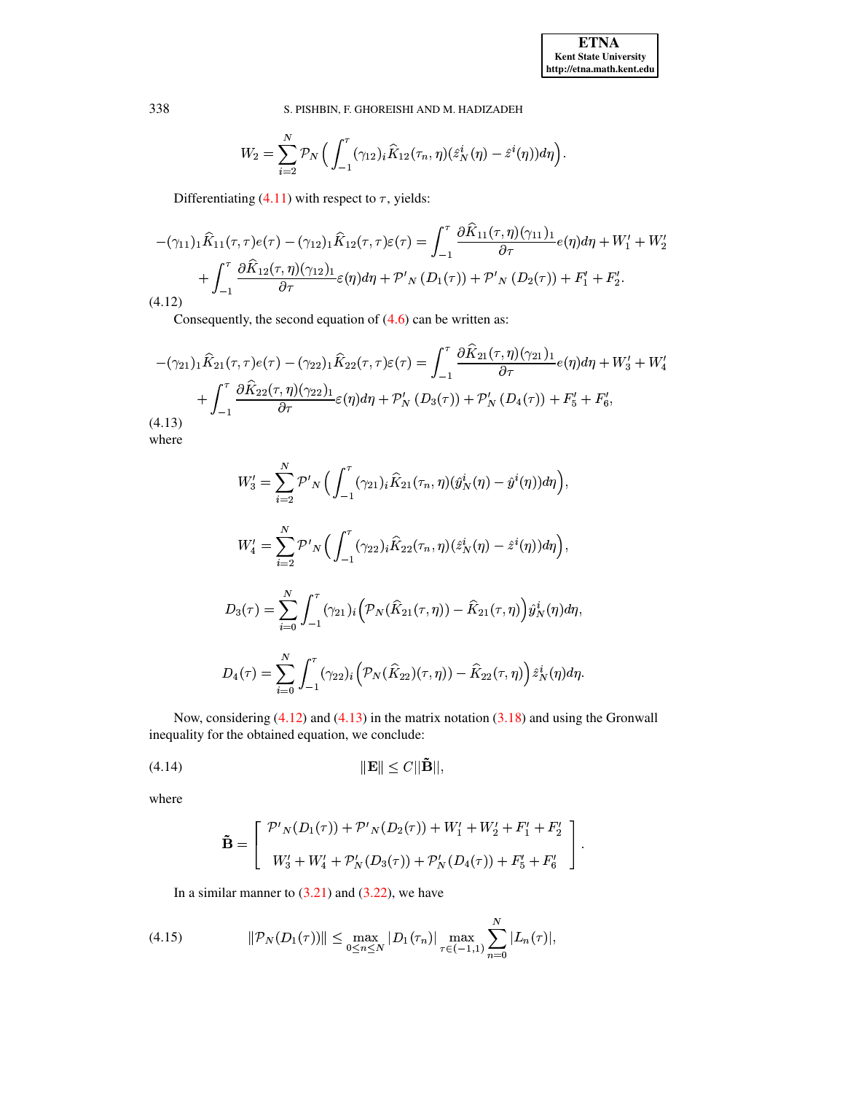$\ddot{\phantom{a}}$ 

S. PISHBIN, F. GHOREISHI AND M. HADIZADEH

$$
W_2 = \sum_{i=2}^N \mathcal{P}_N\Big(\int_{-1}^{\tau} (\gamma_{12})_i \hat{K}_{12}(\tau_n, \eta) (\hat{z}_N^i(\eta) - \hat{z}^i(\eta)) d\eta \Big).
$$

Differentiating (4.11) with respect to  $\tau$ , yields:

<span id="page-11-0"></span>
$$
-(\gamma_{11})_1 \hat{K}_{11}(\tau,\tau) e(\tau) - (\gamma_{12})_1 \hat{K}_{12}(\tau,\tau) \varepsilon(\tau) = \int_{-1}^{\tau} \frac{\partial \hat{K}_{11}(\tau,\eta)(\gamma_{11})_1}{\partial \tau} e(\eta) d\eta + W_1' + W_2' + \int_{-1}^{\tau} \frac{\partial \hat{K}_{12}(\tau,\eta)(\gamma_{12})_1}{\partial \tau} \varepsilon(\eta) d\eta + \mathcal{P'}_N(D_1(\tau)) + \mathcal{P'}_N(D_2(\tau)) + F_1' + F_2'.
$$
\n(4.12)

Consequently, the second equation of  $(4.6)$  can be written as:

<span id="page-11-1"></span>
$$
-(\gamma_{21})_1 \hat{K}_{21}(\tau,\tau)e(\tau) - (\gamma_{22})_1 \hat{K}_{22}(\tau,\tau)\varepsilon(\tau) = \int_{-1}^{\tau} \frac{\partial \hat{K}_{21}(\tau,\eta)(\gamma_{21})_1}{\partial \tau} e(\eta) d\eta + W'_3 + W'_4 + \int_{-1}^{\tau} \frac{\partial \hat{K}_{22}(\tau,\eta)(\gamma_{22})_1}{\partial \tau} \varepsilon(\eta) d\eta + \mathcal{P}'_N(D_3(\tau)) + \mathcal{P}'_N(D_4(\tau)) + F'_5 + F'_6,
$$
\n(4.13)

where

$$
W'_{3} = \sum_{i=2}^{N} \mathcal{P'}_{N}\Big(\int_{-1}^{\tau} (\gamma_{21})_{i} \hat{K}_{21}(\tau_{n}, \eta)(\hat{y}_{N}^{i}(\eta) - \hat{y}^{i}(\eta)) d\eta\Big),
$$
  
\n
$$
W'_{4} = \sum_{i=2}^{N} \mathcal{P'}_{N}\Big(\int_{-1}^{\tau} (\gamma_{22})_{i} \hat{K}_{22}(\tau_{n}, \eta)(\hat{z}_{N}^{i}(\eta) - \hat{z}^{i}(\eta)) d\eta\Big),
$$
  
\n
$$
D_{3}(\tau) = \sum_{i=0}^{N} \int_{-1}^{\tau} (\gamma_{21})_{i} \Big(\mathcal{P}_{N}(\hat{K}_{21}(\tau, \eta)) - \hat{K}_{21}(\tau, \eta)\Big) \hat{y}_{N}^{i}(\eta) d\eta,
$$
  
\n
$$
D_{4}(\tau) = \sum_{i=0}^{N} \int_{-1}^{\tau} (\gamma_{22})_{i} \Big(\mathcal{P}_{N}(\hat{K}_{22})(\tau, \eta)) - \hat{K}_{22}(\tau, \eta)\Big) \hat{z}_{N}^{i}(\eta) d\eta.
$$

Now, considering  $(4.12)$  and  $(4.13)$  in the matrix notation  $(3.18)$  and using the Gronwall inequality for the obtained equation, we conclude:

$$
||\mathbf{E}|| \le C ||\tilde{\mathbf{B}}||,
$$

where

<span id="page-11-2"></span>
$$
\tilde{\mathbf{B}} = \begin{bmatrix} \mathcal{P}'_{N}(D_1(\tau)) + \mathcal{P}'_{N}(D_2(\tau)) + W'_1 + W'_2 + F'_1 + F'_2 \\ W'_3 + W'_4 + \mathcal{P}'_{N}(D_3(\tau)) + \mathcal{P}'_{N}(D_4(\tau)) + F'_5 + F'_6 \end{bmatrix}
$$

In a similar manner to  $(3.21)$  and  $(3.22)$ , we have

(4.15) 
$$
\|\mathcal{P}_N(D_1(\tau))\| \leq \max_{0 \leq n \leq N} |D_1(\tau_n)| \max_{\tau \in (-1,1)} \sum_{n=0}^N |L_n(\tau)|,
$$

338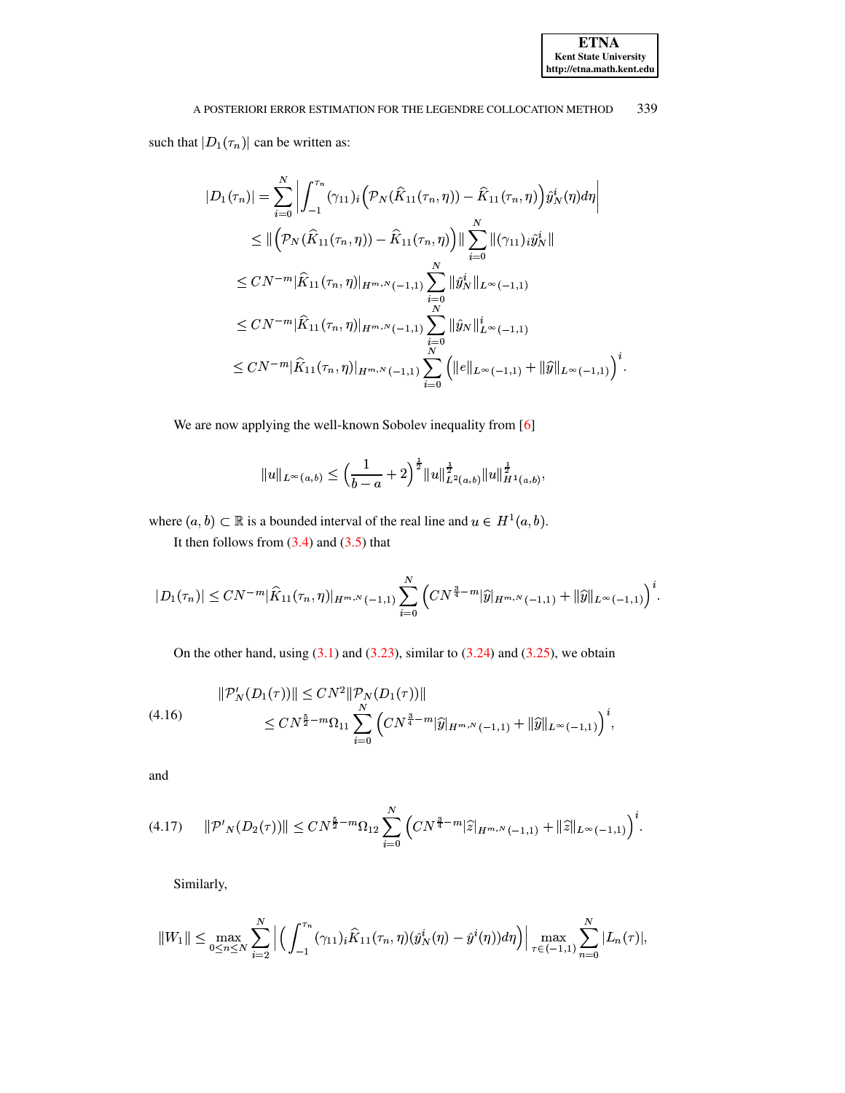such that  $|D_1(\tau_n)|$  can be written as:

$$
|D_1(\tau_n)| = \sum_{i=0}^N \left| \int_{-1}^{\tau_n} (\gamma_{11})_i \left( \mathcal{P}_N(\widehat{K}_{11}(\tau_n, \eta)) - \widehat{K}_{11}(\tau_n, \eta) \right) \widehat{y}_N^i(\eta) d\eta \right|
$$
  
\n
$$
\leq \| \left( \mathcal{P}_N(\widehat{K}_{11}(\tau_n, \eta)) - \widehat{K}_{11}(\tau_n, \eta) \right) \| \sum_{i=0}^N \| (\gamma_{11})_i \widehat{y}_N^i \|
$$
  
\n
$$
\leq CN^{-m} \| \widehat{K}_{11}(\tau_n, \eta) \|_{H^{m,N}(-1,1)} \sum_{\substack{n=0 \ n \text{ N} \\ N}}^N \| \widehat{y}_N^i \|_{L^{\infty}(-1,1)}
$$
  
\n
$$
\leq CN^{-m} \| \widehat{K}_{11}(\tau_n, \eta) \|_{H^{m,N}(-1,1)} \sum_{\substack{n=0 \ n \text{ N} \\ N}}^N \| \widehat{y}_N \|_{L^{\infty}(-1,1)}^i
$$
  
\n
$$
\leq CN^{-m} \| \widehat{K}_{11}(\tau_n, \eta) \|_{H^{m,N}(-1,1)} \sum_{i=0}^N \left( \| e \|_{L^{\infty}(-1,1)} + \| \widehat{y} \|_{L^{\infty}(-1,1)} \right)^i.
$$

We are now applying the well-known Sobolev inequality from [6]

$$
||u||_{L^{\infty}(a,b)} \leq \left(\frac{1}{b-a} + 2\right)^{\frac{1}{2}} ||u||_{L^{2}(a,b)}^{\frac{1}{2}} ||u||_{H^{1}(a,b)}^{\frac{1}{2}},
$$

where  $(a, b) \subset \mathbb{R}$  is a bounded interval of the real line and  $u \in H^1(a, b)$ .

It then follows from  $(3.4)$  and  $(3.5)$  that

$$
|D_1(\tau_n)| \le CN^{-m} |\widehat{K}_{11}(\tau_n, \eta)|_{H^{m, N}(-1, 1)} \sum_{i=0}^N \left( CN^{\frac{3}{4} - m} |\widehat{y}|_{H^{m, N}(-1, 1)} + ||\widehat{y}||_{L^{\infty}(-1, 1)} \right)^i.
$$

On the other hand, using  $(3.1)$  and  $(3.23)$ , similar to  $(3.24)$  and  $(3.25)$ , we obtain

<span id="page-12-0"></span>
$$
\|\mathcal{P}'_N(D_1(\tau))\| \le CN^2 \|\mathcal{P}_N(D_1(\tau))\|
$$
  

$$
\le CN^{\frac{5}{2}-m}\Omega_{11} \sum_{i=0}^N \left(CN^{\frac{3}{4}-m}|\widehat{y}|_{H^{m,N}(-1,1)} + \|\widehat{y}\|_{L^{\infty}(-1,1)}\right)^i,
$$

and

<span id="page-12-1"></span>
$$
(4.17) \qquad \|\mathcal{P}'_{N}(D_2(\tau))\| \le CN^{\frac{5}{2}-m}\Omega_{12}\sum_{i=0}^N \left(CN^{\frac{3}{4}-m}|\widehat{z}|_{H^{m,N}(-1,1)} + \|\widehat{z}\|_{L^{\infty}(-1,1)}\right)^i
$$

Similarly,

$$
||W_1|| \leq \max_{0 \leq n \leq N} \sum_{i=2}^N \Big| \Big( \int_{-1}^{\tau_n} (\gamma_{11})_i \widehat{K}_{11}(\tau_n, \eta) (\widehat{y}_N^i(\eta) - \widehat{y}^i(\eta)) d\eta \Big) \Big| \max_{\tau \in (-1,1)} \sum_{n=0}^N |L_n(\tau)|,
$$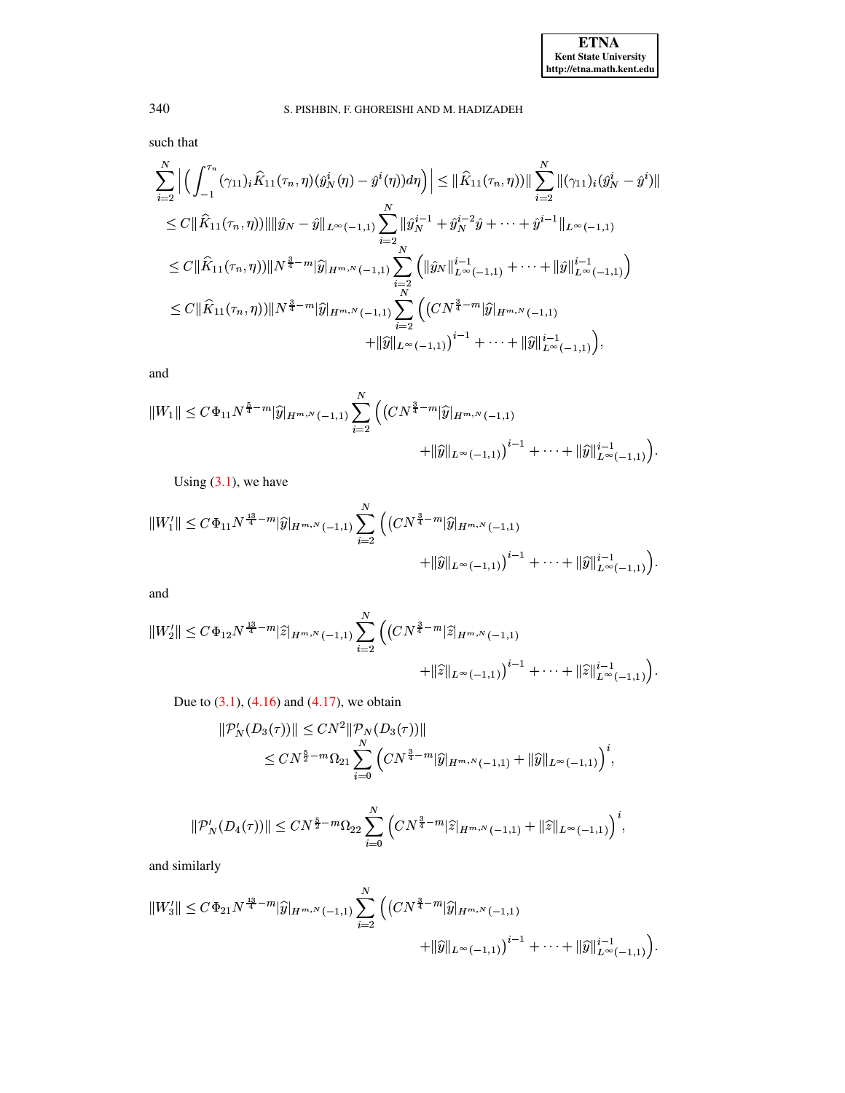such that

$$
\sum_{i=2}^{N} \Big| \Big( \int_{-1}^{\tau_n} (\gamma_{11})_i \hat{K}_{11}(\tau_n, \eta) (\hat{y}_N^i(\eta) - \hat{y}^i(\eta)) d\eta \Big) \Big| \leq \|\hat{K}_{11}(\tau_n, \eta))\| \sum_{i=2}^{N} \|(\gamma_{11})_i (\hat{y}_N^i - \hat{y}^i)\|
$$
  
\n
$$
\leq C \|\hat{K}_{11}(\tau_n, \eta))\| \|\hat{y}_N - \hat{y}\|_{L^{\infty}(-1, 1)} \sum_{i=2}^{N} \|\hat{y}_N^{i-1} + \hat{y}_N^{i-2} \hat{y} + \dots + \hat{y}^{i-1}\|_{L^{\infty}(-1, 1)}
$$
  
\n
$$
\leq C \|\hat{K}_{11}(\tau_n, \eta))\|N^{\frac{3}{4}-m}\|\hat{y}\|_{H^{m, N}(-1, 1)} \sum_{i=2}^{N} \Big( \|\hat{y}_N\|_{L^{\infty}(-1, 1)}^{i-1} + \dots + \|\hat{y}\|_{L^{\infty}(-1, 1)}^{i-1} \Big)
$$
  
\n
$$
\leq C \|\hat{K}_{11}(\tau_n, \eta))\|N^{\frac{3}{4}-m}\|\hat{y}\|_{H^{m, N}(-1, 1)} \sum_{i=2}^{N} \Big( (CN^{\frac{3}{4}-m}\|\hat{y}\|_{H^{m, N}(-1, 1)} + \dots + \|\hat{y}\|_{L^{\infty}(-1, 1)}^{i-1} \Big),
$$

and

$$
||W_1|| \leq C\Phi_{11}N^{\frac{5}{4}-m}|\widehat{y}|_{H^{m,N}(-1,1)} \sum_{i=2}^N \Big( \big(CN^{\frac{3}{4}-m}|\widehat{y}|_{H^{m,N}(-1,1)} + ||\widehat{y}||_{L^{\infty}(-1,1)} \big)^{i-1} + \cdots + ||\widehat{y}||_{L^{\infty}(-1,1)}^{i-1} \Big).
$$

Using  $(3.1)$ , we have

$$
||W_1'|| \leq C\Phi_{11}N^{\frac{13}{4}-m}|\widehat{y}|_{H^{m,N}(-1,1)}\sum_{i=2}^N \Big((CN^{\frac{3}{4}-m}|\widehat{y}|_{H^{m,N}(-1,1)} + ||\widehat{y}||_{L^{\infty}(-1,1)})^{i-1} + \cdots + ||\widehat{y}||_{L^{\infty}(-1,1)}^{i-1}\Big).
$$

and

$$
||W_2'|| \leq C\Phi_{12}N^{\frac{13}{4}-m}|\widehat{z}|_{H^{m,N}(-1,1)}\sum_{i=2}^N \Big(\big(CN^{\frac{3}{4}-m}|\widehat{z}|_{H^{m,N}(-1,1)} + ||\widehat{z}||_{L^{\infty}(-1,1)}\big)^{i-1} + \cdots + ||\widehat{z}||_{L^{\infty}(-1,1)}^{i-1}\Big).
$$

Due to  $(3.1)$ ,  $(4.16)$  and  $(4.17)$ , we obtain

$$
\begin{aligned} ||\mathcal{P}'_N(D_3(\tau))|| &\leq CN^2 \|\mathcal{P}_N(D_3(\tau))\| \\ &\leq CN^{\frac{5}{2}-m}\Omega_{21} \sum_{i=0}^N \left( CN^{\frac{3}{4}-m} |\widehat{y}|_{H^{m,N}(-1,1)} + \|\widehat{y}\|_{L^{\infty}(-1,1)} \right)^i, \end{aligned}
$$

$$
\|\mathcal{P}'_N(D_4(\tau))\| \leq CN^{\frac{5}{2}-m}\Omega_{22}\sum_{i=0}^N \left(CN^{\frac{3}{4}-m}|\widehat{z}|_{H^{m,N}(-1,1)} + \|\widehat{z}\|_{L^\infty(-1,1)}\right)^i,
$$

and similarly

$$
||W_3'|| \leq C\Phi_{21}N^{\frac{13}{4}-m}|\widehat{y}|_{H^{m,N}(-1,1)}\sum_{i=2}^N \Big((CN^{\frac{3}{4}-m}|\widehat{y}|_{H^{m,N}(-1,1)} + ||\widehat{y}||_{L^{\infty}(-1,1)})^{i-1} + \cdots + ||\widehat{y}||_{L^{\infty}(-1,1)}^{i-1}\Big).
$$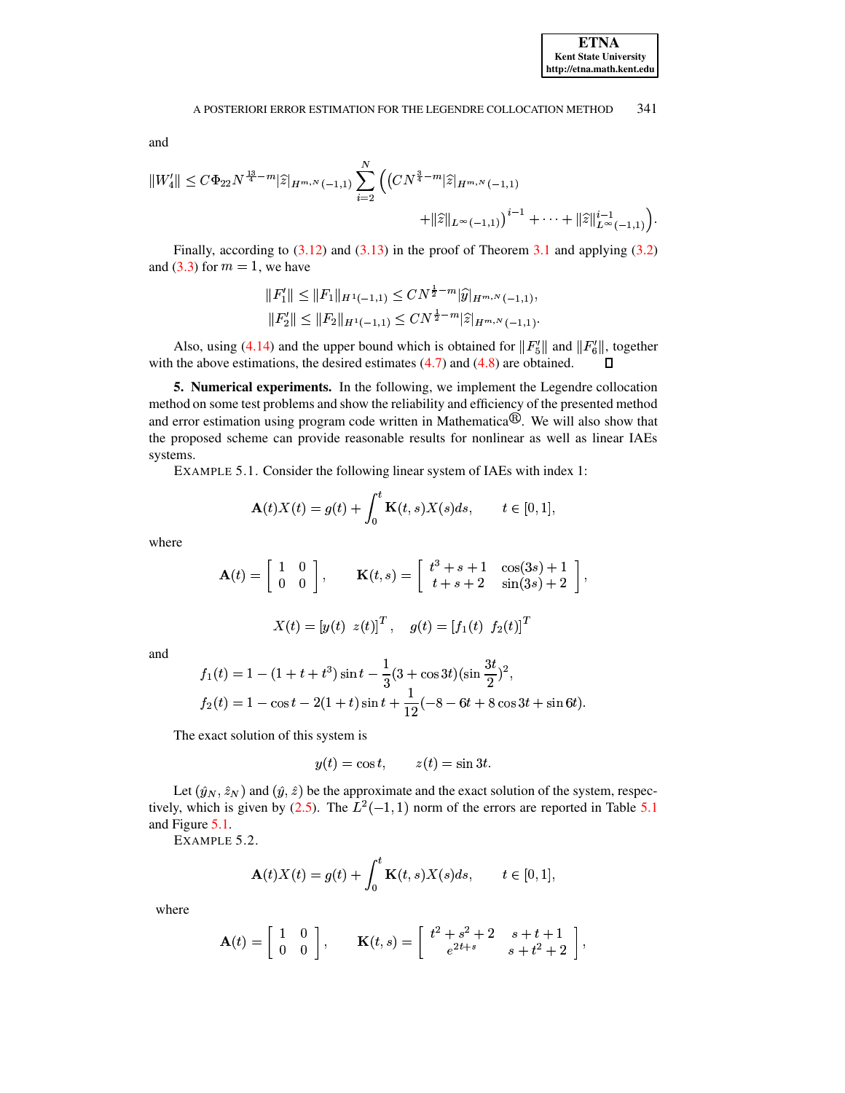and

$$
||W_4'|| \leq C\Phi_{22}N^{\frac{13}{4}-m}|\widehat{z}|_{H^{m,N}(-1,1)}\sum_{i=2}^N \left( (CN^{\frac{3}{4}-m}|\widehat{z}|_{H^{m,N}(-1,1)} + ||\widehat{z}||_{L^{\infty}(-1,1)})^{i-1} + \cdots + ||\widehat{z}||_{L^{\infty}(-1,1)}^{i-1} \right)
$$

Finally, according to  $(3.12)$  and  $(3.13)$  in the proof of Theorem 3.1 and applying  $(3.2)$ and  $(3.3)$  for  $m = 1$ , we have

$$
||F_1'|| \le ||F_1||_{H^1(-1,1)} \le CN^{\frac{1}{2}-m} |\widehat{y}|_{H^{m,N}(-1,1)},
$$
  

$$
||F_2'|| \le ||F_2||_{H^1(-1,1)} \le CN^{\frac{1}{2}-m} |\widehat{z}|_{H^{m,N}(-1,1)}.
$$

Also, using (4.14) and the upper bound which is obtained for  $||F_5'||$  and  $||F_6'||$ , together with the above estimations, the desired estimates  $(4.7)$  and  $(4.8)$  are obtained.  $\Box$ 

<span id="page-14-1"></span><span id="page-14-0"></span>5. Numerical experiments. In the following, we implement the Legendre collocation method on some test problems and show the reliability and efficiency of the presented method and error estimation using program code written in Mathematica $\mathcal{P}$ . We will also show that the proposed scheme can provide reasonable results for nonlinear as well as linear IAEs systems.

EXAMPLE 5.1. Consider the following linear system of IAEs with index 1:

$$
\mathbf{A}(t)X(t) = g(t) + \int_0^t \mathbf{K}(t,s)X(s)ds, \qquad t \in [0,1],
$$

where

$$
\mathbf{A}(t) = \begin{bmatrix} 1 & 0 \\ 0 & 0 \end{bmatrix}, \qquad \mathbf{K}(t,s) = \begin{bmatrix} t^3 + s + 1 & \cos(3s) + 1 \\ t + s + 2 & \sin(3s) + 2 \end{bmatrix},
$$

$$
X(t) = [y(t) z(t)]^T
$$
,  $g(t) = [f_1(t) f_2(t)]^T$ 

and

$$
f_1(t) = 1 - (1 + t + t^3) \sin t - \frac{1}{3} (3 + \cos 3t) (\sin \frac{3t}{2})^2,
$$
  
\n
$$
f_2(t) = 1 - \cos t - 2(1 + t) \sin t + \frac{1}{12} (-8 - 6t + 8 \cos 3t + \sin 6t).
$$

The exact solution of this system is

$$
y(t) = \cos t, \qquad z(t) = \sin 3t.
$$

<span id="page-14-2"></span>Let  $(\hat{y}_N, \hat{z}_N)$  and  $(\hat{y}, \hat{z})$  be the approximate and the exact solution of the system, respectively, which is given by (2.5). The  $L^2(-1, 1)$  norm of the errors are reported in Table 5.1 and Figure 5.1.

EXAMPLE 5.2.

$$
\mathbf{A}(t)X(t) = g(t) + \int_0^t \mathbf{K}(t,s)X(s)ds, \qquad t \in [0,1],
$$

where

$$
\mathbf{A}(t) = \begin{bmatrix} 1 & 0 \\ 0 & 0 \end{bmatrix}, \qquad \mathbf{K}(t,s) = \begin{bmatrix} t^2 + s^2 + 2 & s + t + 1 \\ e^{2t + s} & s + t^2 + 2 \end{bmatrix},
$$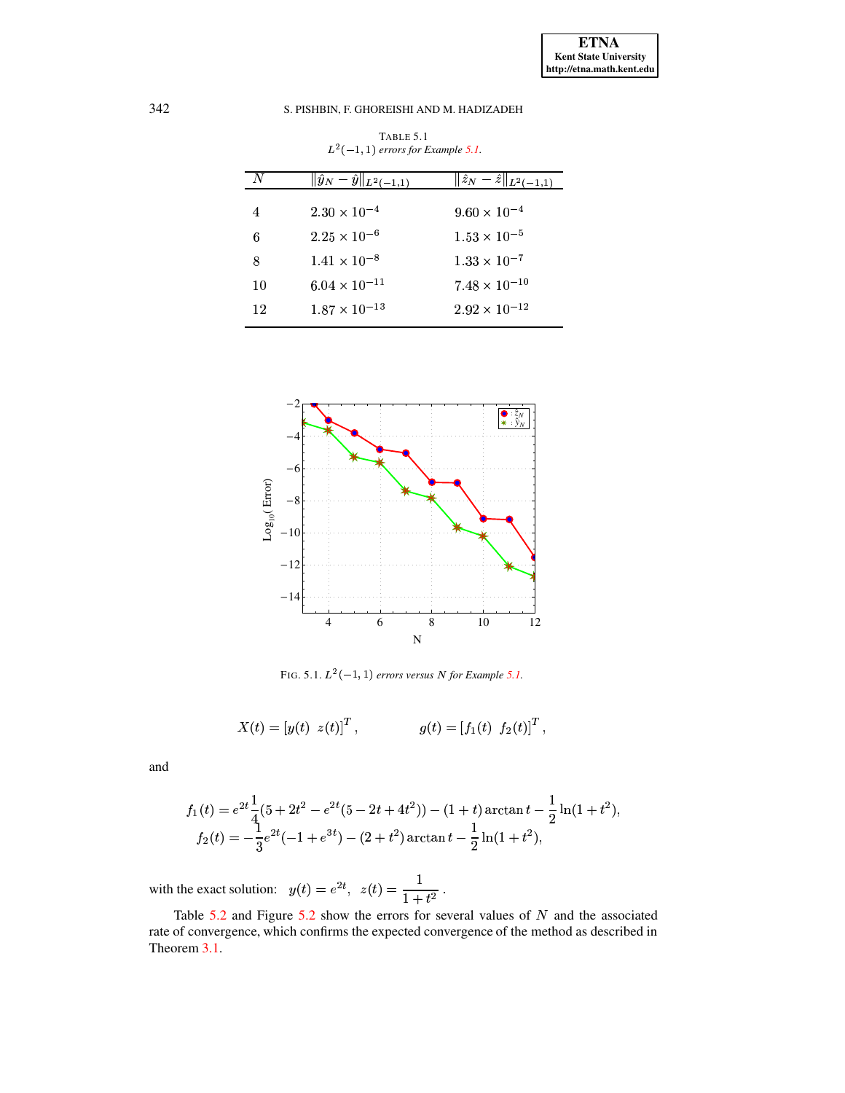<span id="page-15-0"></span>

| N  | $\ \hat{y}_N-\hat{y}\ _{L^2(-1,1)}$ | $\ \hat{z}_N - \hat{z}\ _{L^2(-1,1)}$ |
|----|-------------------------------------|---------------------------------------|
| 4  | $2.30 \times 10^{-4}$               | $9.60 \times 10^{-4}$                 |
| 6  | $2.25 \times 10^{-6}$               | $1.53 \times 10^{-5}$                 |
| 8  | $1.41 \times 10^{-8}$               | $1.33 \times 10^{-7}$                 |
| 10 | $6.04 \times 10^{-11}$              | $7.48 \times 10^{-10}$                |
| 12 | $1.87 \times 10^{-13}$              | $2.92 \times 10^{-12}$                |

TABLE 5.1  $L^2(-1, 1)$  errors for Example 5.1.



FIG. 5.1.  $L^2(-1, 1)$  errors versus N for Example 5.1.

<span id="page-15-1"></span>
$$
X(t) = [y(t) z(t)]^T
$$
,  $g(t) = [f_1(t) f_2(t)]^T$ 

and

$$
f_1(t) = e^{2t} \frac{1}{4} (5 + 2t^2 - e^{2t} (5 - 2t + 4t^2)) - (1 + t) \arctan t - \frac{1}{2} \ln(1 + t^2),
$$
  
\n
$$
f_2(t) = -\frac{1}{3} e^{2t} (-1 + e^{3t}) - (2 + t^2) \arctan t - \frac{1}{2} \ln(1 + t^2),
$$

with the exact solution:  $y(t) = e^{2t}$ ,  $z(t) = \frac{1}{1+t^2}$ .

Table  $5.2$  and Figure  $5.2$  show the errors for several values of N and the associated rate of convergence, which confirms the expected convergence of the method as described in Theorem 3.1.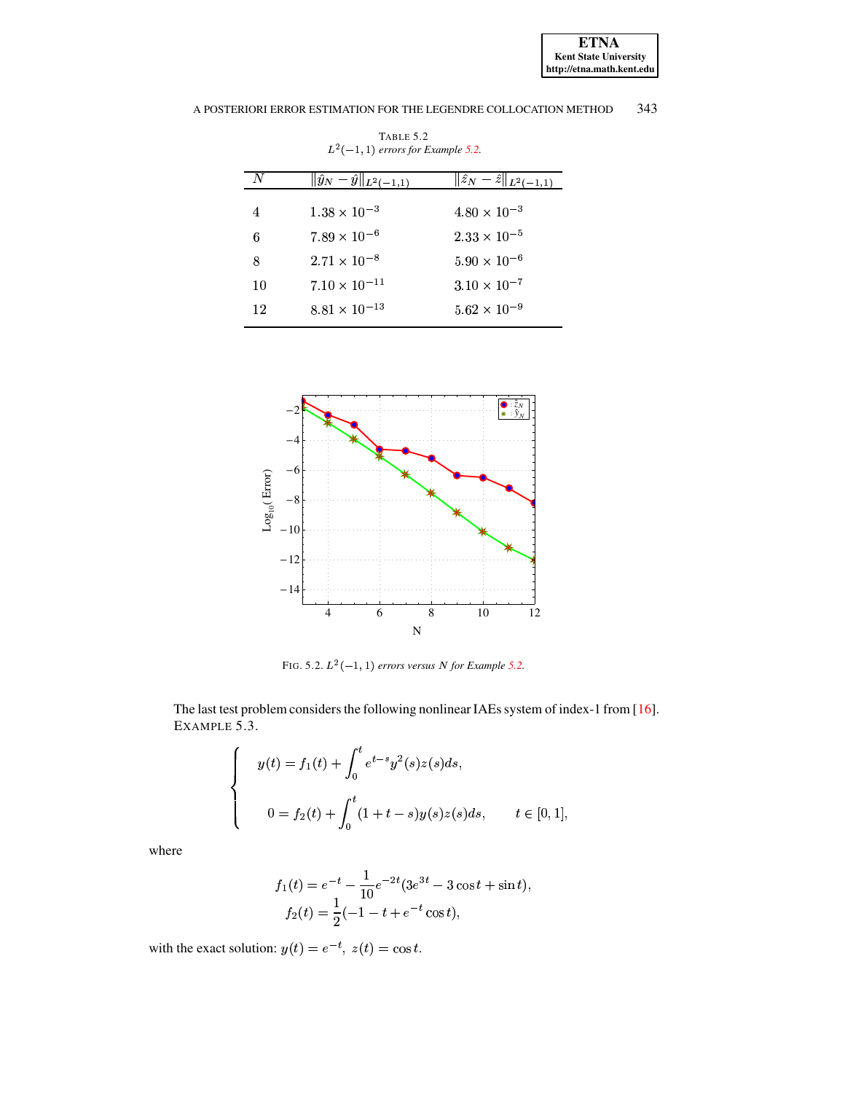<span id="page-16-0"></span>

|    | $\ \hat{y}_N-\hat{y}\ _{L^2(-1,1)}$ | $\ \hat{z}_N - \hat{z}\ _{L^2(-1,1)}$ |
|----|-------------------------------------|---------------------------------------|
|    |                                     |                                       |
| 4  | $1.38 \times 10^{-3}$               | $4.80 \times 10^{-3}$                 |
|    |                                     |                                       |
| 6  | $7.89 \times 10^{-6}$               | $2.33 \times 10^{-5}$                 |
| 8  | $2.71 \times 10^{-8}$               | $5.90 \times 10^{-6}$                 |
| 10 | $7.10 \times 10^{-11}$              | $3.10 \times 10^{-7}$                 |
| 12 | $8.81 \times 10^{-13}$              | $5.62 \times 10^{-9}$                 |
|    |                                     |                                       |

TABLE 5.2  $L^2(-1, 1)$  errors for Example 5.2.



<span id="page-16-1"></span>FIG. 5.2.  $L^2(-1, 1)$  errors versus N for Example 5.2.

<span id="page-16-2"></span>The last test problem considers the following nonlinear IAEs system of index-1 from [16]. EXAMPLE 5.3.

$$
y(t) = f_1(t) + \int_0^t e^{t-s} y^2(s) z(s) ds,
$$
  

$$
0 = f_2(t) + \int_0^t (1+t-s) y(s) z(s) ds, \qquad t \in [0,1],
$$

where

$$
f_1(t) = e^{-t} - \frac{1}{10}e^{-2t}(3e^{3t} - 3\cos t + \sin t),
$$
  
\n
$$
f_2(t) = \frac{1}{2}(-1 - t + e^{-t}\cos t),
$$

with the exact solution:  $y(t) = e^{-t}$ ,  $z(t) = \cos t$ .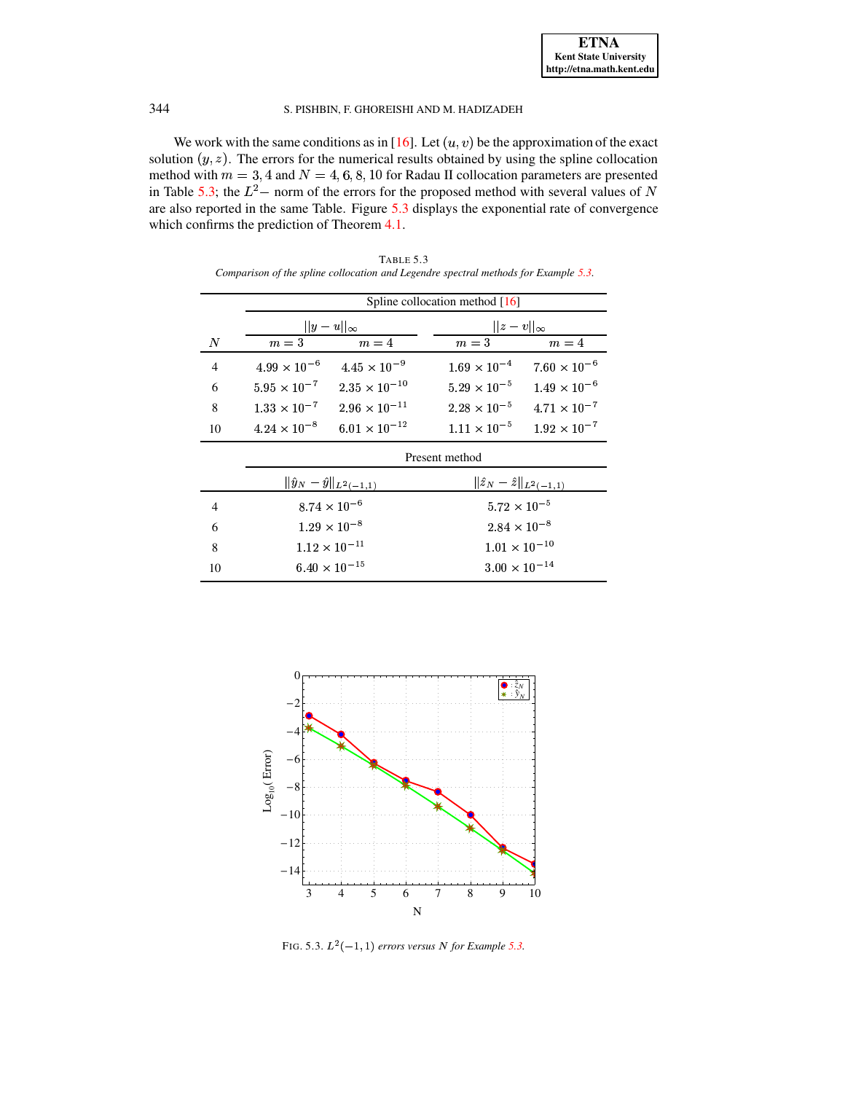We work with the same conditions as in [\[16\]](#page-19-1). Let  $(u, v)$  be the approximation of the exact<br>tion  $(u, z)$ . The errors for the numerical results obtained by using the spline collocation solution  $(y, z)$ . The errors for the numerical results obtained by using the spline collocation<br>method with  $m = 3.4$  and  $N = 4.6, 8.10$  for Radau II collocation parameters are presented method with  $m = 3, 4$  and  $N = 4, 6, 8, 10$  for Radau II collocation parameters are presented method with  $m = 3, 4$  and  $N = 4, 6, 8, 10$  for Radau II collocation parameters are presen<br>in Table [5.3;](#page-17-0) the  $L^2$  – norm of the errors for the proposed method with several values of are also reported in the same Table. Figure [5.3](#page-17-1) displays the exponential rate of convergence which confirms the prediction of Theorem [4.1.](#page-9-6)

<span id="page-17-0"></span>

|                | Spline collocation method [16]      |                        |                                       |                       |
|----------------|-------------------------------------|------------------------|---------------------------------------|-----------------------|
|                | $  y-u  _{\infty}$                  |                        | $  z - v  _{\infty}$                  |                       |
| N              | $m=3$                               | $m=4$                  | $m=\sqrt{3}$                          | $m=4$                 |
| $\overline{4}$ | $4.99 \times 10^{-6}$               | $4.45 \times 10^{-9}$  | $1.69 \times 10^{-4}$                 | $7.60 \times 10^{-6}$ |
| 6              | $5.95\times10^{-7}$                 | $2.35 \times 10^{-10}$ | $5.29 \times 10^{-5}$                 | $1.49 \times 10^{-6}$ |
| 8              | $1.33 \times 10^{-7}$               | $2.96 \times 10^{-11}$ | $2.28 \times 10^{-5}$                 | $4.71 \times 10^{-7}$ |
| 10             | $4.24 \times 10^{-8}$               | $6.01 \times 10^{-12}$ | $1.11 \times 10^{-5}$                 | $1.92 \times 10^{-7}$ |
|                | Present method                      |                        |                                       |                       |
|                | $\ \hat{y}_N-\hat{y}\ _{L^2(-1,1)}$ |                        | $\ \hat{z}_N - \hat{z}\ _{L^2(-1,1)}$ |                       |
| $\overline{4}$ | $8.74\times10^{-6}$                 |                        | $5.72\times10^{-5}$                   |                       |
| 6              | $1.29 \times 10^{-8}$               |                        | $2.84 \times 10^{-8}$                 |                       |
| 8              | $1.12\times10^{-11}$                |                        | $1.01\times10^{-10}$                  |                       |
| 10             | $6.40 \times 10^{-15}$              |                        | $3.00\times10^{-14}$                  |                       |

TABLE 5.3 *Comparison of the spline collocation and Legendre spectral methods for Example [5.3.](#page-16-2)*



<span id="page-17-1"></span>FIG. [5.3.](#page-16-2)  $L^2(-1, 1)$  errors versus N for Example 5.3.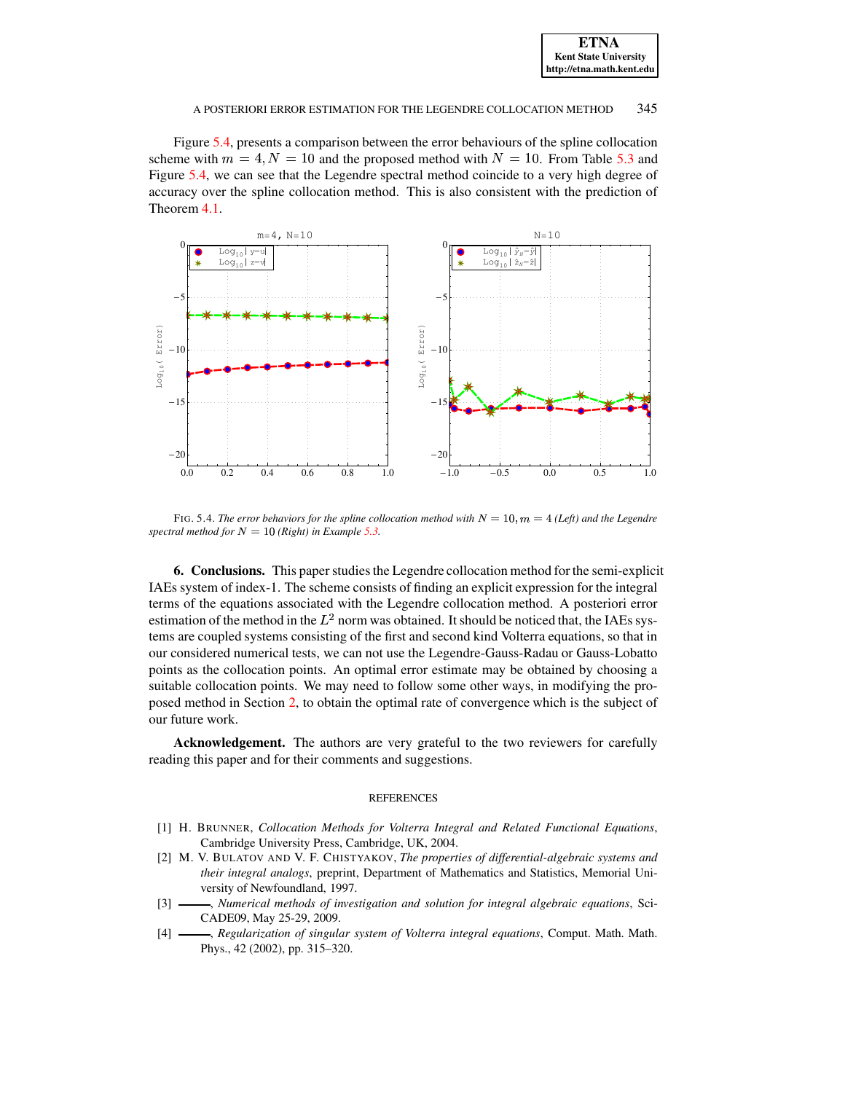| <b>ETNA</b>                  |
|------------------------------|
| <b>Kent State University</b> |
| http://etna.math.kent.edu    |

Figure [5.4,](#page-18-4) presents a comparison between the error behaviours of the spline collocation scheme with  $m = 4, N = 10$  and the proposed method with  $N = 10$ . From Table [5.3](#page-17-0) and Figure 5.4, we can see that the Legendre spectral method coincide to a very high degree of Figure [5.4,](#page-18-4) we can see that the Legendre spectral method coincide to a very high degree of accuracy over the spline collocation method. This is also consistent with the prediction of Theorem [4.1.](#page-9-6)



<span id="page-18-4"></span>FIG. 5.4. The error behaviors for the spline collocation method with  $N = 10$ ,  $m = 4$  (Left) and the Legendre spectral method for  $N = 10$  (Right) in *Example* [5.3.](#page-16-2)

**6.** Conclusions. This paper studies the Legendre collocation method for the semi-explicit IAEs system of index-1. The scheme consists of finding an explicit expression for the integral terms of the equations associated with the Legendre collocation method. A posteriori error estimation of the method in the  $L^2$  norm was obtained. It should be noticed that, the IAEs systems are coupled systems consisting of the first and second kind Volterra equations, so that in our considered numerical tests, we can not use the Legendre-Gauss-Radau or Gauss-Lobatto points as the collocation points. An optimal error estimate may be obtained by choosing a suitable collocation points. We may need to follow some other ways, in modifying the proposed method in Section [2,](#page-1-0) to obtain the optimal rate of convergence which is the subject of our future work.

**Acknowledgement.** The authors are very grateful to the two reviewers for carefully reading this paper and for their comments and suggestions.

### REFERENCES

- <span id="page-18-0"></span>[1] H. BRUNNER, *Collocation Methods for Volterra Integral and Related Functional Equations*, Cambridge University Press, Cambridge, UK, 2004.
- <span id="page-18-1"></span>[2] M. V. BULATOV AND V. F. CHISTYAKOV, *The properties of differential-algebraic systems and their integral analogs*, preprint, Department of Mathematics and Statistics, Memorial University of Newfoundland, 1997.
- <span id="page-18-2"></span>[3] , *Numerical methods of investigation and solution for integral algebraic equations*, Sci-CADE09, May 25-29, 2009.
- <span id="page-18-3"></span>[4] , *Regularization of singular system of Volterra integral equations*, Comput. Math. Math. Phys., 42 (2002), pp. 315–320.